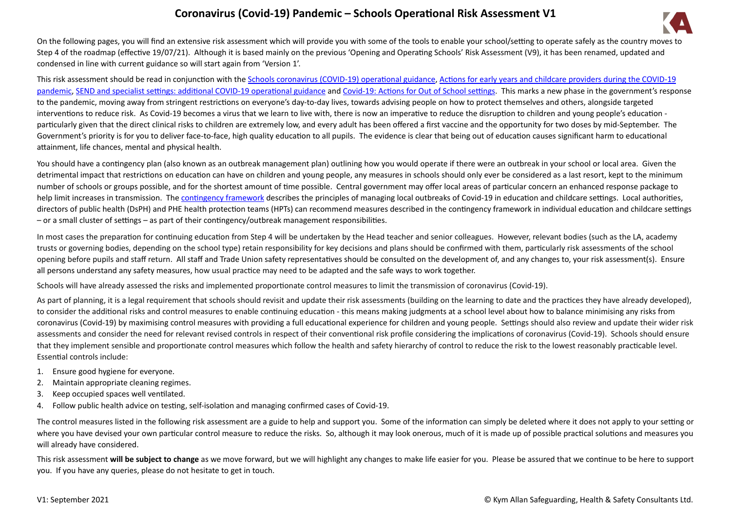## **Coronavirus (Covid-19) Pandemic – Schools Operational Risk Assessment V1**



On the following pages, you will find an extensive risk assessment which will provide you with some of the tools to enable your school/setting to operate safely as the country moves to Step 4 of the roadmap (effective 19/07/21). Although it is based mainly on the previous 'Opening and Operating Schools' Risk Assessment (V9), it has been renamed, updated and condensed in line with current guidance so will start again from 'Version 1'.

This risk assessment should be read in conjunction with the [Schools coronavirus \(COVID-19\) operational guidance,](https://www.gov.uk/government/publications/actions-for-schools-during-the-coronavirus-outbreak/schools-covid-19-operational-guidance) [Actions for early years and childcare providers during the COVID-19](https://www.gov.uk/government/publications/coronavirus-covid-19-early-years-and-childcare-closures/actions-for-early-years-and-childcare-providers-during-the-covid-19-pandemic)  [pandemic,](https://www.gov.uk/government/publications/coronavirus-covid-19-early-years-and-childcare-closures/actions-for-early-years-and-childcare-providers-during-the-covid-19-pandemic) [SEND and specialist settings: additional COVID-19 operational guidance](https://www.gov.uk/government/publications/guidance-for-full-opening-special-schools-and-other-specialist-settings/send-and-specialist-settings-additional-covid-19-operational-guidance-applies-after-step-4) and [Covid-19: Actions for Out of School settings](https://www.gov.uk/government/publications/protective-measures-for-holiday-or-after-school-clubs-and-other-out-of-school-settings-for-children-during-the-coronavirus-covid-19-outbreak/covid-19-actions-for-out-of-school-settings). This marks a new phase in the government's response to the pandemic, moving away from stringent restrictions on everyone's day-to-day lives, towards advising people on how to protect themselves and others, alongside targeted interventions to reduce risk. As Covid-19 becomes a virus that we learn to live with, there is now an imperative to reduce the disruption to children and young people's education particularly given that the direct clinical risks to children are extremely low, and every adult has been offered a first vaccine and the opportunity for two doses by mid-September. The Government's priority is for you to deliver face-to-face, high quality education to all pupils. The evidence is clear that being out of education causes significant harm to educational attainment, life chances, mental and physical health.

You should have a contingency plan (also known as an outbreak management plan) outlining how you would operate if there were an outbreak in your school or local area. Given the detrimental impact that restrictions on education can have on children and young people, any measures in schools should only ever be considered as a last resort, kept to the minimum number of schools or groups possible, and for the shortest amount of time possible. Central government may offer local areas of particular concern an enhanced response package to help limit increases in transmission. The [contingency framework](https://www.gov.uk/government/publications/coronavirus-covid-19-local-restrictions-in-education-and-childcare-settings/contingency-framework-education-and-childcare-settings) describes the principles of managing local outbreaks of Covid-19 in education and childcare settings. Local authorities, directors of public health (DsPH) and PHE health protection teams (HPTs) can recommend measures described in the contingency framework in individual education and childcare settings – or a small cluster of settings – as part of their contingency/outbreak management responsibilities.

In most cases the preparation for continuing education from Step 4 will be undertaken by the Head teacher and senior colleagues. However, relevant bodies (such as the LA, academy trusts or governing bodies, depending on the school type) retain responsibility for key decisions and plans should be confirmed with them, particularly risk assessments of the school opening before pupils and staff return. All staff and Trade Union safety representatives should be consulted on the development of, and any changes to, your risk assessment(s). Ensure all persons understand any safety measures, how usual practice may need to be adapted and the safe ways to work together.

Schools will have already assessed the risks and implemented proportionate control measures to limit the transmission of coronavirus (Covid-19).

As part of planning, it is a legal requirement that schools should revisit and update their risk assessments (building on the learning to date and the practices they have already developed), to consider the additional risks and control measures to enable continuing education - this means making judgments at a school level about how to balance minimising any risks from coronavirus (Covid-19) by maximising control measures with providing a full educational experience for children and young people. Settings should also review and update their wider risk assessments and consider the need for relevant revised controls in respect of their conventional risk profile considering the implications of coronavirus (Covid-19). Schools should ensure that they implement sensible and proportionate control measures which follow the health and safety hierarchy of control to reduce the risk to the lowest reasonably practicable level. Essential controls include:

- 1. Ensure good hygiene for everyone.
- 2. Maintain appropriate cleaning regimes.
- 3. Keep occupied spaces well ventilated.
- 4. Follow public health advice on testing, self-isolation and managing confirmed cases of Covid-19.

The control measures listed in the following risk assessment are a guide to help and support you. Some of the information can simply be deleted where it does not apply to your setting or where you have devised your own particular control measure to reduce the risks. So, although it may look onerous, much of it is made up of possible practical solutions and measures you will already have considered.

This risk assessment will be subject to change as we move forward, but we will highlight any changes to make life easier for you. Please be assured that we continue to be here to support you. If you have any queries, please do not hesitate to get in touch.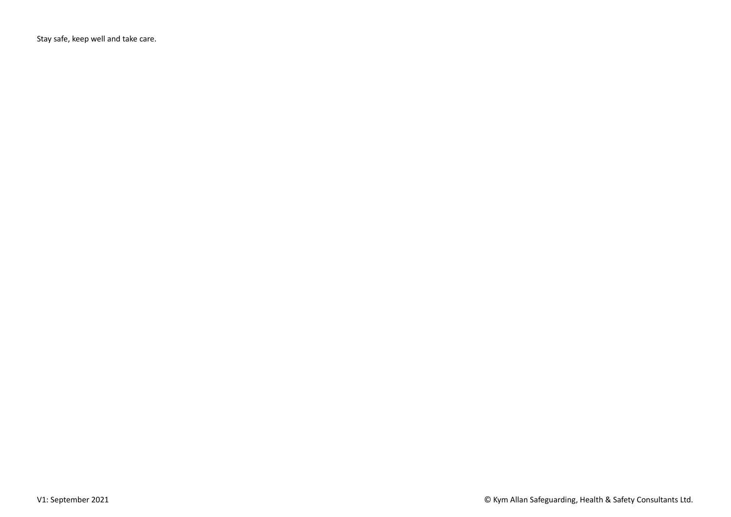Stay safe, keep well and take care.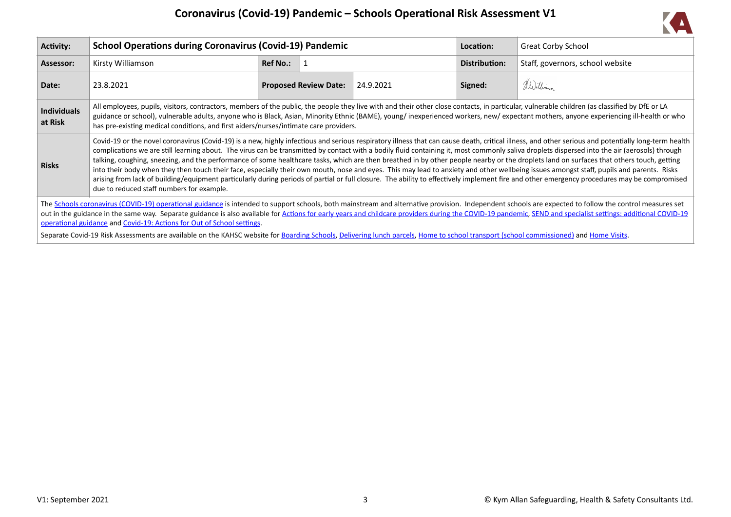

| Activity:                     | <b>School Operations during Coronavirus (Covid-19) Pandemic</b>                                                                                                                                                                                                                                                                                                                                                                                                                                                                                                                                                                                                                                                                                                                                                                                                                                                                                                                                                                          |                 |                              |           |               | <b>Great Corby School</b>                                                                                                                                                                                                                                                                                                                                                                                              |
|-------------------------------|------------------------------------------------------------------------------------------------------------------------------------------------------------------------------------------------------------------------------------------------------------------------------------------------------------------------------------------------------------------------------------------------------------------------------------------------------------------------------------------------------------------------------------------------------------------------------------------------------------------------------------------------------------------------------------------------------------------------------------------------------------------------------------------------------------------------------------------------------------------------------------------------------------------------------------------------------------------------------------------------------------------------------------------|-----------------|------------------------------|-----------|---------------|------------------------------------------------------------------------------------------------------------------------------------------------------------------------------------------------------------------------------------------------------------------------------------------------------------------------------------------------------------------------------------------------------------------------|
| Assessor:                     | Kirsty Williamson                                                                                                                                                                                                                                                                                                                                                                                                                                                                                                                                                                                                                                                                                                                                                                                                                                                                                                                                                                                                                        | <b>Ref No.:</b> |                              |           | Distribution: | Staff, governors, school website                                                                                                                                                                                                                                                                                                                                                                                       |
| Date:                         | 23.8.2021                                                                                                                                                                                                                                                                                                                                                                                                                                                                                                                                                                                                                                                                                                                                                                                                                                                                                                                                                                                                                                |                 | <b>Proposed Review Date:</b> | 24.9.2021 | Signed:       | Williams                                                                                                                                                                                                                                                                                                                                                                                                               |
| <b>Individuals</b><br>at Risk | All employees, pupils, visitors, contractors, members of the public, the people they live with and their other close contacts, in particular, vulnerable children (as classified by DfE or LA<br>has pre-existing medical conditions, and first aiders/nurses/intimate care providers.                                                                                                                                                                                                                                                                                                                                                                                                                                                                                                                                                                                                                                                                                                                                                   |                 |                              |           |               | guidance or school), vulnerable adults, anyone who is Black, Asian, Minority Ethnic (BAME), young/ inexperienced workers, new/ expectant mothers, anyone experiencing ill-health or who                                                                                                                                                                                                                                |
| <b>Risks</b>                  | Covid-19 or the novel coronavirus (Covid-19) is a new, highly infectious and serious respiratory illness that can cause death, critical illness, and other serious and potentially long-term health<br>complications we are still learning about. The virus can be transmitted by contact with a bodily fluid containing it, most commonly saliva droplets dispersed into the air (aerosols) through<br>talking, coughing, sneezing, and the performance of some healthcare tasks, which are then breathed in by other people nearby or the droplets land on surfaces that others touch, getting<br>into their body when they then touch their face, especially their own mouth, nose and eyes. This may lead to anxiety and other wellbeing issues amongst staff, pupils and parents. Risks<br>arising from lack of building/equipment particularly during periods of partial or full closure. The ability to effectively implement fire and other emergency procedures may be compromised<br>due to reduced staff numbers for example. |                 |                              |           |               |                                                                                                                                                                                                                                                                                                                                                                                                                        |
|                               | operational guidance and Covid-19: Actions for Out of School settings.                                                                                                                                                                                                                                                                                                                                                                                                                                                                                                                                                                                                                                                                                                                                                                                                                                                                                                                                                                   |                 |                              |           |               | The Schools coronavirus (COVID-19) operational guidance is intended to support schools, both mainstream and alternative provision. Independent schools are expected to follow the control measures set<br>out in the guidance in the same way. Separate guidance is also available for Actions for early years and childcare providers during the COVID-19 pandemic, SEND and specialist settings: additional COVID-19 |
|                               | Separate Covid-19 Risk Assessments are available on the KAHSC website for Boarding Schools, Delivering lunch parcels, Home to school transport (school commissioned) and Home Visits.                                                                                                                                                                                                                                                                                                                                                                                                                                                                                                                                                                                                                                                                                                                                                                                                                                                    |                 |                              |           |               |                                                                                                                                                                                                                                                                                                                                                                                                                        |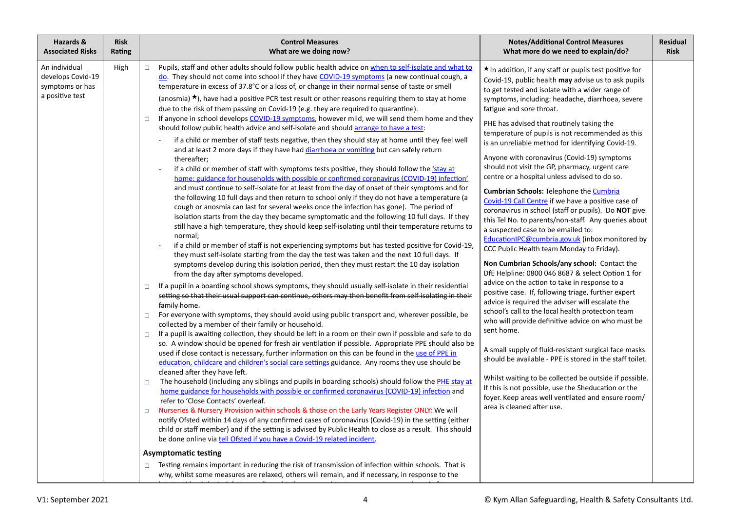| Hazards &<br><b>Risk</b><br><b>Associated Risks</b><br>Rating                    | <b>Control Measures</b><br>What are we doing now?                                                                                                                                                                                                                                                                                                                                                                                                                                                                                                                                                                                                                                                                                                                                                                                                                                                                                                                                                                                                                                                                                                                                                                                                                                                                                                                                                                                                                                                                                                                                                                                                                                                                                                                                                                                                                                                                                                                                                                                                                                                                                                                                                                                                                                                                                                                                                                                                                                                                                                                                                                                                                                                                                                                                                                                                                                                                                                                                                                                                                                                                                                                                                                                                                                                                                                                                                                                                                                                                                                                                                                                                                                                                                                                                                          | <b>Notes/Additional Control Measures</b><br>What more do we need to explain/do?                                                                                                                                                                                                                                                                                                                                                                                                                                                                                                                                                                                                                                                                                                                                                                                                                                                                                                                                                                                                                                                                                                                                                                                                                                                                                                                                                                                                                                                                                                                                                            | <b>Residual</b><br><b>Risk</b> |
|----------------------------------------------------------------------------------|------------------------------------------------------------------------------------------------------------------------------------------------------------------------------------------------------------------------------------------------------------------------------------------------------------------------------------------------------------------------------------------------------------------------------------------------------------------------------------------------------------------------------------------------------------------------------------------------------------------------------------------------------------------------------------------------------------------------------------------------------------------------------------------------------------------------------------------------------------------------------------------------------------------------------------------------------------------------------------------------------------------------------------------------------------------------------------------------------------------------------------------------------------------------------------------------------------------------------------------------------------------------------------------------------------------------------------------------------------------------------------------------------------------------------------------------------------------------------------------------------------------------------------------------------------------------------------------------------------------------------------------------------------------------------------------------------------------------------------------------------------------------------------------------------------------------------------------------------------------------------------------------------------------------------------------------------------------------------------------------------------------------------------------------------------------------------------------------------------------------------------------------------------------------------------------------------------------------------------------------------------------------------------------------------------------------------------------------------------------------------------------------------------------------------------------------------------------------------------------------------------------------------------------------------------------------------------------------------------------------------------------------------------------------------------------------------------------------------------------------------------------------------------------------------------------------------------------------------------------------------------------------------------------------------------------------------------------------------------------------------------------------------------------------------------------------------------------------------------------------------------------------------------------------------------------------------------------------------------------------------------------------------------------------------------------------------------------------------------------------------------------------------------------------------------------------------------------------------------------------------------------------------------------------------------------------------------------------------------------------------------------------------------------------------------------------------------------------------------------------------------------------------------------------------------|--------------------------------------------------------------------------------------------------------------------------------------------------------------------------------------------------------------------------------------------------------------------------------------------------------------------------------------------------------------------------------------------------------------------------------------------------------------------------------------------------------------------------------------------------------------------------------------------------------------------------------------------------------------------------------------------------------------------------------------------------------------------------------------------------------------------------------------------------------------------------------------------------------------------------------------------------------------------------------------------------------------------------------------------------------------------------------------------------------------------------------------------------------------------------------------------------------------------------------------------------------------------------------------------------------------------------------------------------------------------------------------------------------------------------------------------------------------------------------------------------------------------------------------------------------------------------------------------------------------------------------------------|--------------------------------|
| An individual<br>High<br>develops Covid-19<br>symptoms or has<br>a positive test | Pupils, staff and other adults should follow public health advice on when to self-isolate and what to<br>$\Box$<br>do. They should not come into school if they have COVID-19 symptoms (a new continual cough, a<br>temperature in excess of 37.8°C or a loss of, or change in their normal sense of taste or smell<br>(anosmia) $\star$ ), have had a positive PCR test result or other reasons requiring them to stay at home<br>due to the risk of them passing on Covid-19 (e.g. they are required to quarantine).<br>If anyone in school develops COVID-19 symptoms, however mild, we will send them home and they<br>$\Box$<br>should follow public health advice and self-isolate and should arrange to have a test:<br>if a child or member of staff tests negative, then they should stay at home until they feel well<br>and at least 2 more days if they have had diarrhoea or vomiting but can safely return<br>thereafter;<br>if a child or member of staff with symptoms tests positive, they should follow the <i>'stay at</i><br>home: guidance for households with possible or confirmed coronavirus (COVID-19) infection'<br>and must continue to self-isolate for at least from the day of onset of their symptoms and for<br>the following 10 full days and then return to school only if they do not have a temperature (a<br>cough or anosmia can last for several weeks once the infection has gone). The period of<br>isolation starts from the day they became symptomatic and the following 10 full days. If they<br>still have a high temperature, they should keep self-isolating until their temperature returns to<br>normal;<br>if a child or member of staff is not experiencing symptoms but has tested positive for Covid-19,<br>they must self-isolate starting from the day the test was taken and the next 10 full days. If<br>symptoms develop during this isolation period, then they must restart the 10 day isolation<br>from the day after symptoms developed.<br>If a pupil in a boarding school shows symptoms, they should usually self-isolate in their residential<br>$\Box$<br>setting so that their usual support can continue, others may then benefit from self-isolating in their<br>family home.<br>For everyone with symptoms, they should avoid using public transport and, wherever possible, be<br>$\Box$<br>collected by a member of their family or household.<br>If a pupil is awaiting collection, they should be left in a room on their own if possible and safe to do<br>$\Box$<br>so. A window should be opened for fresh air ventilation if possible. Appropriate PPE should also be<br>used if close contact is necessary, further information on this can be found in the use of PPE in<br>education, childcare and children's social care settings guidance. Any rooms they use should be<br>cleaned after they have left.<br>The household (including any siblings and pupils in boarding schools) should follow the PHE stay at<br>$\Box$<br>home guidance for households with possible or confirmed coronavirus (COVID-19) infection and<br>refer to 'Close Contacts' overleaf.<br>Nurseries & Nursery Provision within schools & those on the Early Years Register ONLY: We will<br>$\Box$<br>notify Ofsted within 14 days of any confirmed cases of coronavirus (Covid-19) in the setting (either<br>child or staff member) and if the setting is advised by Public Health to close as a result. This should<br>be done online via tell Ofsted if you have a Covid-19 related incident.<br><b>Asymptomatic testing</b><br>Testing remains important in reducing the risk of transmission of infection within schools. That is<br>why, whilst some measures are relaxed, others will remain, and if necessary, in response to the | * In addition, if any staff or pupils test positive for<br>Covid-19, public health may advise us to ask pupils<br>to get tested and isolate with a wider range of<br>symptoms, including: headache, diarrhoea, severe<br>fatigue and sore throat.<br>PHE has advised that routinely taking the<br>temperature of pupils is not recommended as this<br>is an unreliable method for identifying Covid-19.<br>Anyone with coronavirus (Covid-19) symptoms<br>should not visit the GP, pharmacy, urgent care<br>centre or a hospital unless advised to do so.<br><b>Cumbrian Schools: Telephone the Cumbria</b><br>Covid-19 Call Centre if we have a positive case of<br>coronavirus in school (staff or pupils). Do NOT give<br>this Tel No. to parents/non-staff. Any queries about<br>a suspected case to be emailed to:<br>EducationIPC@cumbria.gov.uk (inbox monitored by<br>CCC Public Health team Monday to Friday).<br>Non Cumbrian Schools/any school: Contact the<br>DfE Helpline: 0800 046 8687 & select Option 1 for<br>advice on the action to take in response to a<br>positive case. If, following triage, further expert<br>advice is required the adviser will escalate the<br>school's call to the local health protection team<br>who will provide definitive advice on who must be<br>sent home.<br>A small supply of fluid-resistant surgical face masks<br>should be available - PPE is stored in the staff toilet.<br>Whilst waiting to be collected be outside if possible.<br>If this is not possible, use the Sheducation or the<br>foyer. Keep areas well ventilated and ensure room/<br>area is cleaned after use. |                                |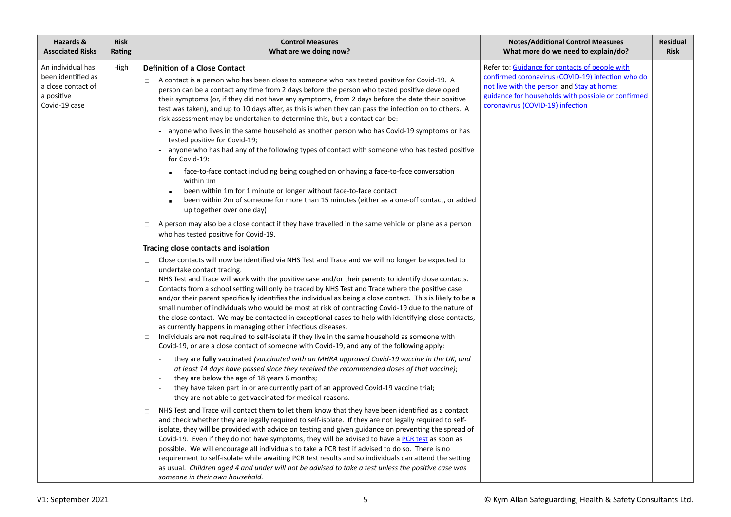| Hazards &<br><b>Associated Risks</b>                                                         | <b>Risk</b><br>Rating | <b>Control Measures</b><br>What are we doing now?                                                                                                                                                                                                                                                                                                                                                                                                                                                                                                                                                                                                                                                                                                                                      | <b>Notes/Additional Control Measures</b><br>What more do we need to explain/do?                                                                                                                                                                                                                                                                                                                                                                                                                                                                                                                                                                                                                                                                                                                                                                                                                                                                                        | <b>Residual</b><br><b>Risk</b> |  |
|----------------------------------------------------------------------------------------------|-----------------------|----------------------------------------------------------------------------------------------------------------------------------------------------------------------------------------------------------------------------------------------------------------------------------------------------------------------------------------------------------------------------------------------------------------------------------------------------------------------------------------------------------------------------------------------------------------------------------------------------------------------------------------------------------------------------------------------------------------------------------------------------------------------------------------|------------------------------------------------------------------------------------------------------------------------------------------------------------------------------------------------------------------------------------------------------------------------------------------------------------------------------------------------------------------------------------------------------------------------------------------------------------------------------------------------------------------------------------------------------------------------------------------------------------------------------------------------------------------------------------------------------------------------------------------------------------------------------------------------------------------------------------------------------------------------------------------------------------------------------------------------------------------------|--------------------------------|--|
| An individual has<br>been identified as<br>a close contact of<br>a positive<br>Covid-19 case | High                  | <b>Definition of a Close Contact</b><br>A contact is a person who has been close to someone who has tested positive for Covid-19. A<br>$\Box$<br>person can be a contact any time from 2 days before the person who tested positive developed<br>their symptoms (or, if they did not have any symptoms, from 2 days before the date their positive<br>test was taken), and up to 10 days after, as this is when they can pass the infection on to others. A<br>risk assessment may be undertaken to determine this, but a contact can be:                                                                                                                                                                                                                                              | Refer to: Guidance for contacts of people with<br>confirmed coronavirus (COVID-19) infection who do<br>not live with the person and Stay at home:<br>guidance for households with possible or confirmed<br>coronavirus (COVID-19) infection                                                                                                                                                                                                                                                                                                                                                                                                                                                                                                                                                                                                                                                                                                                            |                                |  |
|                                                                                              |                       | anyone who lives in the same household as another person who has Covid-19 symptoms or has<br>tested positive for Covid-19;<br>anyone who has had any of the following types of contact with someone who has tested positive<br>for Covid-19:                                                                                                                                                                                                                                                                                                                                                                                                                                                                                                                                           |                                                                                                                                                                                                                                                                                                                                                                                                                                                                                                                                                                                                                                                                                                                                                                                                                                                                                                                                                                        |                                |  |
|                                                                                              |                       | face-to-face contact including being coughed on or having a face-to-face conversation<br>within 1m<br>been within 1m for 1 minute or longer without face-to-face contact<br>been within 2m of someone for more than 15 minutes (either as a one-off contact, or added<br>up together over one day)                                                                                                                                                                                                                                                                                                                                                                                                                                                                                     |                                                                                                                                                                                                                                                                                                                                                                                                                                                                                                                                                                                                                                                                                                                                                                                                                                                                                                                                                                        |                                |  |
|                                                                                              |                       | A person may also be a close contact if they have travelled in the same vehicle or plane as a person<br>$\Box$<br>who has tested positive for Covid-19.                                                                                                                                                                                                                                                                                                                                                                                                                                                                                                                                                                                                                                |                                                                                                                                                                                                                                                                                                                                                                                                                                                                                                                                                                                                                                                                                                                                                                                                                                                                                                                                                                        |                                |  |
|                                                                                              |                       | Tracing close contacts and isolation                                                                                                                                                                                                                                                                                                                                                                                                                                                                                                                                                                                                                                                                                                                                                   |                                                                                                                                                                                                                                                                                                                                                                                                                                                                                                                                                                                                                                                                                                                                                                                                                                                                                                                                                                        |                                |  |
|                                                                                              |                       |                                                                                                                                                                                                                                                                                                                                                                                                                                                                                                                                                                                                                                                                                                                                                                                        | Close contacts will now be identified via NHS Test and Trace and we will no longer be expected to<br>$\Box$<br>undertake contact tracing.<br>NHS Test and Trace will work with the positive case and/or their parents to identify close contacts.<br>$\Box$<br>Contacts from a school setting will only be traced by NHS Test and Trace where the positive case<br>and/or their parent specifically identifies the individual as being a close contact. This is likely to be a<br>small number of individuals who would be most at risk of contracting Covid-19 due to the nature of<br>the close contact. We may be contacted in exceptional cases to help with identifying close contacts,<br>as currently happens in managing other infectious diseases.<br>Individuals are not required to self-isolate if they live in the same household as someone with<br>$\Box$<br>Covid-19, or are a close contact of someone with Covid-19, and any of the following apply: |                                |  |
|                                                                                              |                       | they are fully vaccinated (vaccinated with an MHRA approved Covid-19 vaccine in the UK, and<br>at least 14 days have passed since they received the recommended doses of that vaccine);<br>they are below the age of 18 years 6 months;<br>they have taken part in or are currently part of an approved Covid-19 vaccine trial;<br>they are not able to get vaccinated for medical reasons.                                                                                                                                                                                                                                                                                                                                                                                            |                                                                                                                                                                                                                                                                                                                                                                                                                                                                                                                                                                                                                                                                                                                                                                                                                                                                                                                                                                        |                                |  |
|                                                                                              |                       | NHS Test and Trace will contact them to let them know that they have been identified as a contact<br>$\Box$<br>and check whether they are legally required to self-isolate. If they are not legally required to self-<br>isolate, they will be provided with advice on testing and given guidance on preventing the spread of<br>Covid-19. Even if they do not have symptoms, they will be advised to have a PCR test as soon as<br>possible. We will encourage all individuals to take a PCR test if advised to do so. There is no<br>requirement to self-isolate while awaiting PCR test results and so individuals can attend the setting<br>as usual. Children aged 4 and under will not be advised to take a test unless the positive case was<br>someone in their own household. |                                                                                                                                                                                                                                                                                                                                                                                                                                                                                                                                                                                                                                                                                                                                                                                                                                                                                                                                                                        |                                |  |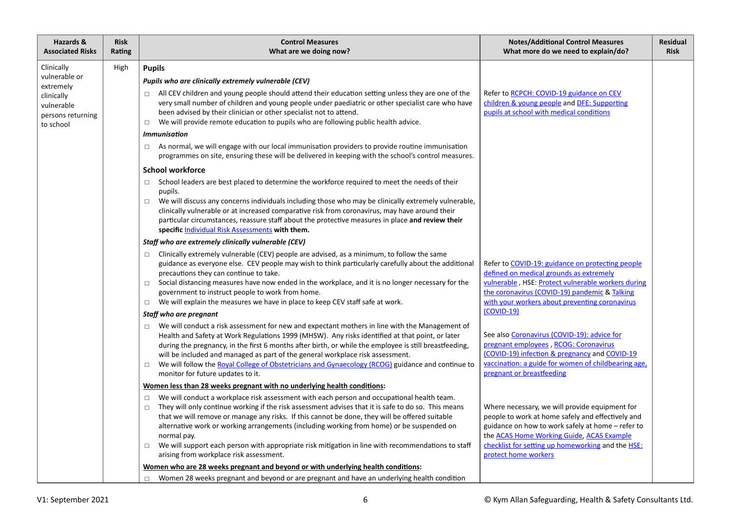| Hazards &<br><b>Associated Risks</b>                                                                   | <b>Risk</b><br>Rating | <b>Control Measures</b><br>What are we doing now?                                                                                                                                                                                                                                                                                                                                                                                                                                                                                                                                                                                                                                                                                                                                                                                                                                                                                                                                                                                                                                                                                                                                                                                                                                                                                                                                                                                                                                                                                                                                                                                                                                                                                                                                                                     | <b>Notes/Additional Control Measures</b><br>What more do we need to explain/do?                                                                                                                                                                                                                                                                                                             | <b>Residual</b><br><b>Risk</b> |
|--------------------------------------------------------------------------------------------------------|-----------------------|-----------------------------------------------------------------------------------------------------------------------------------------------------------------------------------------------------------------------------------------------------------------------------------------------------------------------------------------------------------------------------------------------------------------------------------------------------------------------------------------------------------------------------------------------------------------------------------------------------------------------------------------------------------------------------------------------------------------------------------------------------------------------------------------------------------------------------------------------------------------------------------------------------------------------------------------------------------------------------------------------------------------------------------------------------------------------------------------------------------------------------------------------------------------------------------------------------------------------------------------------------------------------------------------------------------------------------------------------------------------------------------------------------------------------------------------------------------------------------------------------------------------------------------------------------------------------------------------------------------------------------------------------------------------------------------------------------------------------------------------------------------------------------------------------------------------------|---------------------------------------------------------------------------------------------------------------------------------------------------------------------------------------------------------------------------------------------------------------------------------------------------------------------------------------------------------------------------------------------|--------------------------------|
| Clinically<br>vulnerable or<br>extremely<br>clinically<br>vulnerable<br>persons returning<br>to school | High                  | <b>Pupils</b><br>Pupils who are clinically extremely vulnerable (CEV)<br>All CEV children and young people should attend their education setting unless they are one of the<br>$\Box$<br>very small number of children and young people under paediatric or other specialist care who have<br>been advised by their clinician or other specialist not to attend.<br>We will provide remote education to pupils who are following public health advice.<br>$\Box$<br><b>Immunisation</b><br>As normal, we will engage with our local immunisation providers to provide routine immunisation<br>$\Box$<br>programmes on site, ensuring these will be delivered in keeping with the school's control measures.<br><b>School workforce</b><br>School leaders are best placed to determine the workforce required to meet the needs of their<br>$\Box$<br>pupils.<br>We will discuss any concerns individuals including those who may be clinically extremely vulnerable,<br>$\Box$<br>clinically vulnerable or at increased comparative risk from coronavirus, may have around their<br>particular circumstances, reassure staff about the protective measures in place and review their<br>specific Individual Risk Assessments with them.<br>Staff who are extremely clinically vulnerable (CEV)<br>Clinically extremely vulnerable (CEV) people are advised, as a minimum, to follow the same<br>$\Box$<br>guidance as everyone else. CEV people may wish to think particularly carefully about the additional<br>precautions they can continue to take.<br>Social distancing measures have now ended in the workplace, and it is no longer necessary for the<br>$\Box$<br>government to instruct people to work from home.<br>We will explain the measures we have in place to keep CEV staff safe at work.<br>$\Box$ | Refer to RCPCH: COVID-19 guidance on CEV<br>children & young people and DFE: Supporting<br>pupils at school with medical conditions<br>Refer to COVID-19: guidance on protecting people<br>defined on medical grounds as extremely<br>vulnerable, HSE: Protect vulnerable workers during<br>the coronavirus (COVID-19) pandemic & Talking<br>with your workers about preventing coronavirus |                                |
|                                                                                                        |                       | Staff who are pregnant<br>We will conduct a risk assessment for new and expectant mothers in line with the Management of<br>$\Box$<br>Health and Safety at Work Regulations 1999 (MHSW). Any risks identified at that point, or later<br>during the pregnancy, in the first 6 months after birth, or while the employee is still breastfeeding,<br>will be included and managed as part of the general workplace risk assessment.<br>We will follow the Royal College of Obstetricians and Gynaecology (RCOG) guidance and continue to<br>$\Box$<br>monitor for future updates to it.<br>Women less than 28 weeks pregnant with no underlying health conditions:                                                                                                                                                                                                                                                                                                                                                                                                                                                                                                                                                                                                                                                                                                                                                                                                                                                                                                                                                                                                                                                                                                                                                      | $(COVID-19)$<br>See also Coronavirus (COVID-19): advice for<br>pregnant employees, RCOG: Coronavirus<br>(COVID-19) infection & pregnancy and COVID-19<br>vaccination: a guide for women of childbearing age,<br>pregnant or breastfeeding                                                                                                                                                   |                                |
|                                                                                                        |                       | We will conduct a workplace risk assessment with each person and occupational health team.<br>$\Box$<br>They will only continue working if the risk assessment advises that it is safe to do so. This means<br>$\Box$<br>that we will remove or manage any risks. If this cannot be done, they will be offered suitable<br>alternative work or working arrangements (including working from home) or be suspended on<br>normal pay.<br>We will support each person with appropriate risk mitigation in line with recommendations to staff<br>$\Box$<br>arising from workplace risk assessment.<br>Women who are 28 weeks pregnant and beyond or with underlying health conditions:<br>Women 28 weeks pregnant and beyond or are pregnant and have an underlying health condition<br>$\Box$                                                                                                                                                                                                                                                                                                                                                                                                                                                                                                                                                                                                                                                                                                                                                                                                                                                                                                                                                                                                                            | Where necessary, we will provide equipment for<br>people to work at home safely and effectively and<br>guidance on how to work safely at home - refer to<br>the <b>ACAS Home Working Guide</b> , <b>ACAS Example</b><br>checklist for setting up homeworking and the HSE:<br>protect home workers                                                                                           |                                |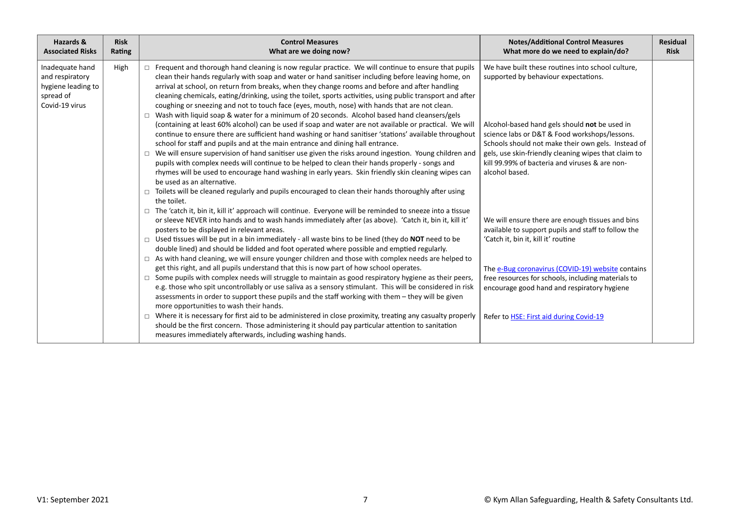| Hazards &<br><b>Associated Risks</b>                                                    | <b>Risk</b><br>Rating | <b>Control Measures</b><br>What are we doing now?                                                                                                                                                                                                                                                                                                                                                                                                                                                                                                                                                                                                                                                                                                                                                                                                                                                                                                                                                                                                                                                                                                                                                                                                                                                                                                                                                                               | <b>Notes/Additional Control Measures</b><br>What more do we need to explain/do?                                                                                                                                                                                                                                                                                               | <b>Residual</b><br><b>Risk</b> |
|-----------------------------------------------------------------------------------------|-----------------------|---------------------------------------------------------------------------------------------------------------------------------------------------------------------------------------------------------------------------------------------------------------------------------------------------------------------------------------------------------------------------------------------------------------------------------------------------------------------------------------------------------------------------------------------------------------------------------------------------------------------------------------------------------------------------------------------------------------------------------------------------------------------------------------------------------------------------------------------------------------------------------------------------------------------------------------------------------------------------------------------------------------------------------------------------------------------------------------------------------------------------------------------------------------------------------------------------------------------------------------------------------------------------------------------------------------------------------------------------------------------------------------------------------------------------------|-------------------------------------------------------------------------------------------------------------------------------------------------------------------------------------------------------------------------------------------------------------------------------------------------------------------------------------------------------------------------------|--------------------------------|
| Inadequate hand<br>and respiratory<br>hygiene leading to<br>spread of<br>Covid-19 virus | High                  | $\Box$ Frequent and thorough hand cleaning is now regular practice. We will continue to ensure that pupils<br>clean their hands regularly with soap and water or hand sanitiser including before leaving home, on<br>arrival at school, on return from breaks, when they change rooms and before and after handling<br>cleaning chemicals, eating/drinking, using the toilet, sports activities, using public transport and after<br>coughing or sneezing and not to touch face (eyes, mouth, nose) with hands that are not clean.<br>$\Box$ Wash with liquid soap & water for a minimum of 20 seconds. Alcohol based hand cleansers/gels<br>(containing at least 60% alcohol) can be used if soap and water are not available or practical. We will<br>continue to ensure there are sufficient hand washing or hand sanitiser 'stations' available throughout<br>school for staff and pupils and at the main entrance and dining hall entrance.<br>$\Box$ We will ensure supervision of hand sanitiser use given the risks around ingestion. Young children and<br>pupils with complex needs will continue to be helped to clean their hands properly - songs and<br>rhymes will be used to encourage hand washing in early years. Skin friendly skin cleaning wipes can<br>be used as an alternative.<br>□ Toilets will be cleaned regularly and pupils encouraged to clean their hands thoroughly after using<br>the toilet. | We have built these routines into school culture,<br>supported by behaviour expectations.<br>Alcohol-based hand gels should not be used in<br>science labs or D&T & Food workshops/lessons.<br>Schools should not make their own gels. Instead of<br>gels, use skin-friendly cleaning wipes that claim to<br>kill 99.99% of bacteria and viruses & are non-<br>alcohol based. |                                |
|                                                                                         |                       | $\Box$ The 'catch it, bin it, kill it' approach will continue. Everyone will be reminded to sneeze into a tissue<br>or sleeve NEVER into hands and to wash hands immediately after (as above). 'Catch it, bin it, kill it'<br>posters to be displayed in relevant areas.<br>$\Box$ Used tissues will be put in a bin immediately - all waste bins to be lined (they do NOT need to be<br>double lined) and should be lidded and foot operated where possible and emptied regularly.<br>$\Box$ As with hand cleaning, we will ensure younger children and those with complex needs are helped to<br>get this right, and all pupils understand that this is now part of how school operates.<br>$\Box$ Some pupils with complex needs will struggle to maintain as good respiratory hygiene as their peers,<br>e.g. those who spit uncontrollably or use saliva as a sensory stimulant. This will be considered in risk<br>assessments in order to support these pupils and the staff working with them - they will be given<br>more opportunities to wash their hands.<br>$\Box$ Where it is necessary for first aid to be administered in close proximity, treating any casualty properly<br>should be the first concern. Those administering it should pay particular attention to sanitation<br>measures immediately afterwards, including washing hands.                                                                     | We will ensure there are enough tissues and bins<br>available to support pupils and staff to follow the<br>'Catch it, bin it, kill it' routine<br>The e-Bug coronavirus (COVID-19) website contains<br>free resources for schools, including materials to<br>encourage good hand and respiratory hygiene<br>Refer to <b>HSE: First aid during Covid-19</b>                    |                                |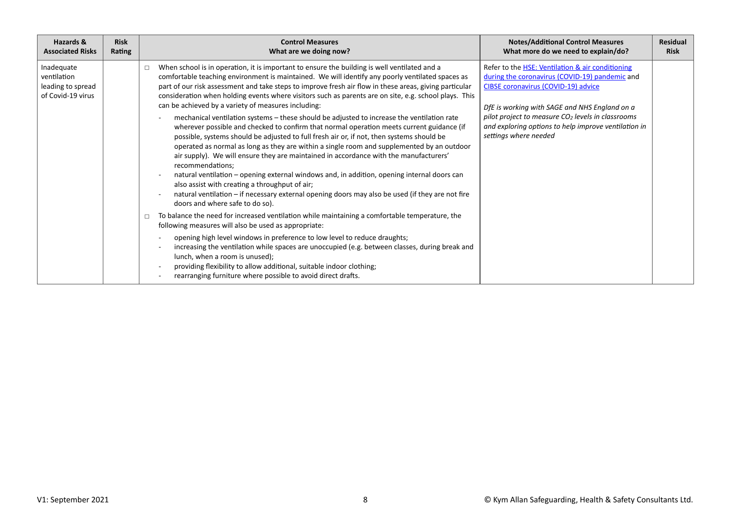| Hazards &                                                           | <b>Risk</b> | <b>Control Measures</b>                                                                                                                                                                                                                                                                                                                                                                                                                                                                                                                                                                                                                                                                                                                                                                                                                                                                                                                                                                                                                                                                                                                                                                                                                                                                                                                                                                                                                                                                                                                                                                                                                                                                                                                                                                            | <b>Notes/Additional Control Measures</b>                                                                                                                                                                                                                                                                                                                       | <b>Residual</b> |
|---------------------------------------------------------------------|-------------|----------------------------------------------------------------------------------------------------------------------------------------------------------------------------------------------------------------------------------------------------------------------------------------------------------------------------------------------------------------------------------------------------------------------------------------------------------------------------------------------------------------------------------------------------------------------------------------------------------------------------------------------------------------------------------------------------------------------------------------------------------------------------------------------------------------------------------------------------------------------------------------------------------------------------------------------------------------------------------------------------------------------------------------------------------------------------------------------------------------------------------------------------------------------------------------------------------------------------------------------------------------------------------------------------------------------------------------------------------------------------------------------------------------------------------------------------------------------------------------------------------------------------------------------------------------------------------------------------------------------------------------------------------------------------------------------------------------------------------------------------------------------------------------------------|----------------------------------------------------------------------------------------------------------------------------------------------------------------------------------------------------------------------------------------------------------------------------------------------------------------------------------------------------------------|-----------------|
| <b>Associated Risks</b>                                             | Rating      | What are we doing now?                                                                                                                                                                                                                                                                                                                                                                                                                                                                                                                                                                                                                                                                                                                                                                                                                                                                                                                                                                                                                                                                                                                                                                                                                                                                                                                                                                                                                                                                                                                                                                                                                                                                                                                                                                             | What more do we need to explain/do?                                                                                                                                                                                                                                                                                                                            | <b>Risk</b>     |
| Inadequate<br>ventilation<br>leading to spread<br>of Covid-19 virus |             | When school is in operation, it is important to ensure the building is well ventilated and a<br>$\Box$<br>comfortable teaching environment is maintained. We will identify any poorly ventilated spaces as<br>part of our risk assessment and take steps to improve fresh air flow in these areas, giving particular<br>consideration when holding events where visitors such as parents are on site, e.g. school plays. This<br>can be achieved by a variety of measures including:<br>mechanical ventilation systems - these should be adjusted to increase the ventilation rate<br>wherever possible and checked to confirm that normal operation meets current guidance (if<br>possible, systems should be adjusted to full fresh air or, if not, then systems should be<br>operated as normal as long as they are within a single room and supplemented by an outdoor<br>air supply). We will ensure they are maintained in accordance with the manufacturers'<br>recommendations;<br>natural ventilation - opening external windows and, in addition, opening internal doors can<br>also assist with creating a throughput of air;<br>natural ventilation – if necessary external opening doors may also be used (if they are not fire<br>doors and where safe to do so).<br>To balance the need for increased ventilation while maintaining a comfortable temperature, the<br>following measures will also be used as appropriate:<br>opening high level windows in preference to low level to reduce draughts;<br>increasing the ventilation while spaces are unoccupied (e.g. between classes, during break and<br>lunch, when a room is unused);<br>providing flexibility to allow additional, suitable indoor clothing;<br>rearranging furniture where possible to avoid direct drafts. | Refer to the <b>HSE: Ventilation &amp; air conditioning</b><br>during the coronavirus (COVID-19) pandemic and<br><b>CIBSE coronavirus (COVID-19) advice</b><br>DfE is working with SAGE and NHS England on a<br>pilot project to measure CO <sub>2</sub> levels in classrooms<br>and exploring options to help improve ventilation in<br>settings where needed |                 |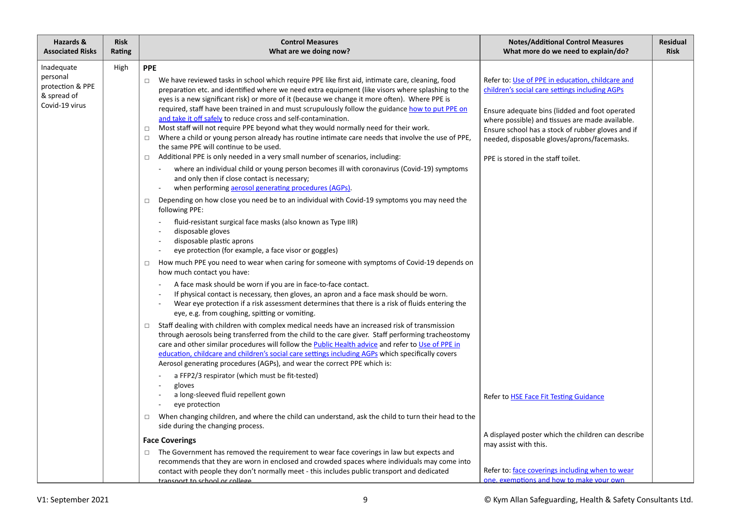| Hazards &<br><b>Associated Risks</b>                                        | <b>Risk</b><br>Rating | <b>Control Measures</b><br>What are we doing now?                                                                                                                                                                                                                                                                                                                                                                                                                                                                                                                                                                                                                                                                                                                                                                                                                                                                                                                                                                                                                                                                                                                                                                                                                                                                                                                                                                                                                                | <b>Notes/Additional Control Measures</b><br>What more do we need to explain/do?                                                                                                                                                                                                                                                                   | <b>Residual</b><br><b>Risk</b> |
|-----------------------------------------------------------------------------|-----------------------|----------------------------------------------------------------------------------------------------------------------------------------------------------------------------------------------------------------------------------------------------------------------------------------------------------------------------------------------------------------------------------------------------------------------------------------------------------------------------------------------------------------------------------------------------------------------------------------------------------------------------------------------------------------------------------------------------------------------------------------------------------------------------------------------------------------------------------------------------------------------------------------------------------------------------------------------------------------------------------------------------------------------------------------------------------------------------------------------------------------------------------------------------------------------------------------------------------------------------------------------------------------------------------------------------------------------------------------------------------------------------------------------------------------------------------------------------------------------------------|---------------------------------------------------------------------------------------------------------------------------------------------------------------------------------------------------------------------------------------------------------------------------------------------------------------------------------------------------|--------------------------------|
| Inadequate<br>personal<br>protection & PPE<br>& spread of<br>Covid-19 virus | High                  | <b>PPE</b><br>We have reviewed tasks in school which require PPE like first aid, intimate care, cleaning, food<br>$\Box$<br>preparation etc. and identified where we need extra equipment (like visors where splashing to the<br>eyes is a new significant risk) or more of it (because we change it more often). Where PPE is<br>required, staff have been trained in and must scrupulously follow the guidance how to put PPE on<br>and take it off safely to reduce cross and self-contamination.<br>Most staff will not require PPE beyond what they would normally need for their work.<br>$\Box$<br>Where a child or young person already has routine intimate care needs that involve the use of PPE,<br>$\Box$<br>the same PPE will continue to be used.<br>Additional PPE is only needed in a very small number of scenarios, including:<br>$\Box$<br>where an individual child or young person becomes ill with coronavirus (Covid-19) symptoms<br>and only then if close contact is necessary;<br>when performing aerosol generating procedures (AGPs).<br>Depending on how close you need be to an individual with Covid-19 symptoms you may need the<br>$\Box$<br>following PPE:<br>fluid-resistant surgical face masks (also known as Type IIR)<br>disposable gloves<br>disposable plastic aprons<br>eye protection (for example, a face visor or goggles)<br>How much PPE you need to wear when caring for someone with symptoms of Covid-19 depends on<br>$\Box$ | Refer to: Use of PPE in education, childcare and<br>children's social care settings including AGPs<br>Ensure adequate bins (lidded and foot operated<br>where possible) and tissues are made available.<br>Ensure school has a stock of rubber gloves and if<br>needed, disposable gloves/aprons/facemasks.<br>PPE is stored in the staff toilet. |                                |
|                                                                             |                       | how much contact you have:<br>A face mask should be worn if you are in face-to-face contact.<br>If physical contact is necessary, then gloves, an apron and a face mask should be worn.<br>Wear eye protection if a risk assessment determines that there is a risk of fluids entering the<br>eye, e.g. from coughing, spitting or vomiting.<br>Staff dealing with children with complex medical needs have an increased risk of transmission<br>$\Box$<br>through aerosols being transferred from the child to the care giver. Staff performing tracheostomy<br>care and other similar procedures will follow the <b>Public Health advice</b> and refer to Use of PPE in<br>education, childcare and children's social care settings including AGPs which specifically covers<br>Aerosol generating procedures (AGPs), and wear the correct PPE which is:<br>a FFP2/3 respirator (which must be fit-tested)<br>gloves                                                                                                                                                                                                                                                                                                                                                                                                                                                                                                                                                           |                                                                                                                                                                                                                                                                                                                                                   |                                |
|                                                                             |                       | a long-sleeved fluid repellent gown<br>eye protection<br>When changing children, and where the child can understand, ask the child to turn their head to the<br>$\Box$<br>side during the changing process.<br><b>Face Coverings</b><br>The Government has removed the requirement to wear face coverings in law but expects and<br>$\Box$<br>recommends that they are worn in enclosed and crowded spaces where individuals may come into<br>contact with people they don't normally meet - this includes public transport and dedicated<br><u>transnort to school or college.</u>                                                                                                                                                                                                                                                                                                                                                                                                                                                                                                                                                                                                                                                                                                                                                                                                                                                                                              | Refer to HSE Face Fit Testing Guidance<br>A displayed poster which the children can describe<br>may assist with this.<br>Refer to: face coverings including when to wear<br>one, exemptions and how to make your own                                                                                                                              |                                |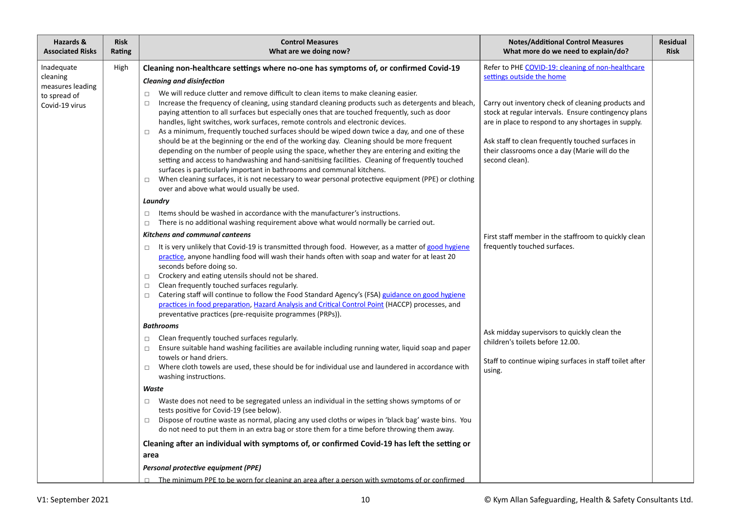| Hazards &<br><b>Associated Risks</b>                                         | <b>Risk</b><br>Rating | <b>Control Measures</b><br>What are we doing now?                                                                                                                                                                                                                                                                                                                                                                                                                                                                                                                                                                                                                                                                                                                                                                                                                                                                                                                                                                                                                                                                                      | <b>Notes/Additional Control Measures</b><br>What more do we need to explain/do?                                                                                                                                                                                                                                                                                              | <b>Residual</b><br><b>Risk</b> |
|------------------------------------------------------------------------------|-----------------------|----------------------------------------------------------------------------------------------------------------------------------------------------------------------------------------------------------------------------------------------------------------------------------------------------------------------------------------------------------------------------------------------------------------------------------------------------------------------------------------------------------------------------------------------------------------------------------------------------------------------------------------------------------------------------------------------------------------------------------------------------------------------------------------------------------------------------------------------------------------------------------------------------------------------------------------------------------------------------------------------------------------------------------------------------------------------------------------------------------------------------------------|------------------------------------------------------------------------------------------------------------------------------------------------------------------------------------------------------------------------------------------------------------------------------------------------------------------------------------------------------------------------------|--------------------------------|
| Inadequate<br>cleaning<br>measures leading<br>to spread of<br>Covid-19 virus | High                  | Cleaning non-healthcare settings where no-one has symptoms of, or confirmed Covid-19<br><b>Cleaning and disinfection</b><br>We will reduce clutter and remove difficult to clean items to make cleaning easier.<br>$\Box$<br>Increase the frequency of cleaning, using standard cleaning products such as detergents and bleach,<br>$\Box$<br>paying attention to all surfaces but especially ones that are touched frequently, such as door<br>handles, light switches, work surfaces, remote controls and electronic devices.<br>As a minimum, frequently touched surfaces should be wiped down twice a day, and one of these<br>$\Box$<br>should be at the beginning or the end of the working day. Cleaning should be more frequent<br>depending on the number of people using the space, whether they are entering and exiting the<br>setting and access to handwashing and hand-sanitising facilities. Cleaning of frequently touched<br>surfaces is particularly important in bathrooms and communal kitchens.<br>When cleaning surfaces, it is not necessary to wear personal protective equipment (PPE) or clothing<br>$\Box$ | Refer to PHE COVID-19: cleaning of non-healthcare<br>settings outside the home<br>Carry out inventory check of cleaning products and<br>stock at regular intervals. Ensure contingency plans<br>are in place to respond to any shortages in supply.<br>Ask staff to clean frequently touched surfaces in<br>their classrooms once a day (Marie will do the<br>second clean). |                                |
|                                                                              |                       | over and above what would usually be used.<br>Laundry<br>Items should be washed in accordance with the manufacturer's instructions.<br>$\Box$                                                                                                                                                                                                                                                                                                                                                                                                                                                                                                                                                                                                                                                                                                                                                                                                                                                                                                                                                                                          |                                                                                                                                                                                                                                                                                                                                                                              |                                |
|                                                                              |                       | There is no additional washing requirement above what would normally be carried out.<br>$\Box$<br><b>Kitchens and communal canteens</b><br>It is very unlikely that Covid-19 is transmitted through food. However, as a matter of good hygiene<br>$\Box$<br>practice, anyone handling food will wash their hands often with soap and water for at least 20<br>seconds before doing so.<br>Crockery and eating utensils should not be shared.<br>$\Box$<br>Clean frequently touched surfaces regularly.<br>$\Box$<br>Catering staff will continue to follow the Food Standard Agency's (FSA) guidance on good hygiene<br>$\Box$<br>practices in food preparation, Hazard Analysis and Critical Control Point (HACCP) processes, and<br>preventative practices (pre-requisite programmes (PRPs)).                                                                                                                                                                                                                                                                                                                                        | First staff member in the staffroom to quickly clean<br>frequently touched surfaces.                                                                                                                                                                                                                                                                                         |                                |
|                                                                              |                       | <b>Bathrooms</b><br>Clean frequently touched surfaces regularly.<br>$\Box$<br>Ensure suitable hand washing facilities are available including running water, liquid soap and paper<br>$\Box$<br>towels or hand driers.<br>Where cloth towels are used, these should be for individual use and laundered in accordance with<br>$\Box$<br>washing instructions.                                                                                                                                                                                                                                                                                                                                                                                                                                                                                                                                                                                                                                                                                                                                                                          | Ask midday supervisors to quickly clean the<br>children's toilets before 12.00.<br>Staff to continue wiping surfaces in staff toilet after<br>using.                                                                                                                                                                                                                         |                                |
|                                                                              |                       | Waste<br>Waste does not need to be segregated unless an individual in the setting shows symptoms of or<br>$\Box$<br>tests positive for Covid-19 (see below).<br>Dispose of routine waste as normal, placing any used cloths or wipes in 'black bag' waste bins. You<br>$\Box$<br>do not need to put them in an extra bag or store them for a time before throwing them away.                                                                                                                                                                                                                                                                                                                                                                                                                                                                                                                                                                                                                                                                                                                                                           |                                                                                                                                                                                                                                                                                                                                                                              |                                |
|                                                                              |                       | Cleaning after an individual with symptoms of, or confirmed Covid-19 has left the setting or<br>area<br>Personal protective equipment (PPE)<br>$\Box$ The minimum PPE to be worn for cleaning an area after a person with symptoms of or confirmed                                                                                                                                                                                                                                                                                                                                                                                                                                                                                                                                                                                                                                                                                                                                                                                                                                                                                     |                                                                                                                                                                                                                                                                                                                                                                              |                                |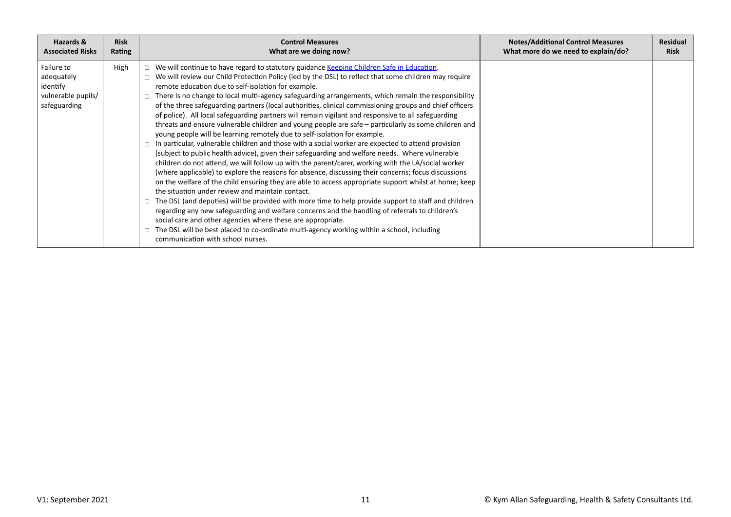| Hazards &                                                                  | <b>Risk</b> | <b>Control Measures</b>                                                                                                                                                                                                                                                                                                                                                                                                                                                                                                                                                                                                                                                                                                                                                                                                                                                                                                                                                                                                                                                                                                                                                                                                                                                                                                                                                                                                                                                                                                                                                                                                                                                                                                                                                 | <b>Notes/Additional Control Measures</b> | <b>Residual</b> |
|----------------------------------------------------------------------------|-------------|-------------------------------------------------------------------------------------------------------------------------------------------------------------------------------------------------------------------------------------------------------------------------------------------------------------------------------------------------------------------------------------------------------------------------------------------------------------------------------------------------------------------------------------------------------------------------------------------------------------------------------------------------------------------------------------------------------------------------------------------------------------------------------------------------------------------------------------------------------------------------------------------------------------------------------------------------------------------------------------------------------------------------------------------------------------------------------------------------------------------------------------------------------------------------------------------------------------------------------------------------------------------------------------------------------------------------------------------------------------------------------------------------------------------------------------------------------------------------------------------------------------------------------------------------------------------------------------------------------------------------------------------------------------------------------------------------------------------------------------------------------------------------|------------------------------------------|-----------------|
| <b>Associated Risks</b>                                                    | Rating      | What are we doing now?                                                                                                                                                                                                                                                                                                                                                                                                                                                                                                                                                                                                                                                                                                                                                                                                                                                                                                                                                                                                                                                                                                                                                                                                                                                                                                                                                                                                                                                                                                                                                                                                                                                                                                                                                  | What more do we need to explain/do?      | <b>Risk</b>     |
| Failure to<br>adequately<br>identify<br>vulnerable pupils/<br>safeguarding | High        | We will continue to have regard to statutory guidance Keeping Children Safe in Education.<br>We will review our Child Protection Policy (led by the DSL) to reflect that some children may require<br>remote education due to self-isolation for example.<br>There is no change to local multi-agency safeguarding arrangements, which remain the responsibility<br>of the three safeguarding partners (local authorities, clinical commissioning groups and chief officers<br>of police). All local safeguarding partners will remain vigilant and responsive to all safeguarding<br>threats and ensure vulnerable children and young people are safe - particularly as some children and<br>young people will be learning remotely due to self-isolation for example.<br>In particular, vulnerable children and those with a social worker are expected to attend provision<br>(subject to public health advice), given their safeguarding and welfare needs. Where vulnerable<br>children do not attend, we will follow up with the parent/carer, working with the LA/social worker<br>(where applicable) to explore the reasons for absence, discussing their concerns; focus discussions<br>on the welfare of the child ensuring they are able to access appropriate support whilst at home; keep<br>the situation under review and maintain contact.<br>The DSL (and deputies) will be provided with more time to help provide support to staff and children<br>regarding any new safeguarding and welfare concerns and the handling of referrals to children's<br>social care and other agencies where these are appropriate.<br>The DSL will be best placed to co-ordinate multi-agency working within a school, including<br>communication with school nurses. |                                          |                 |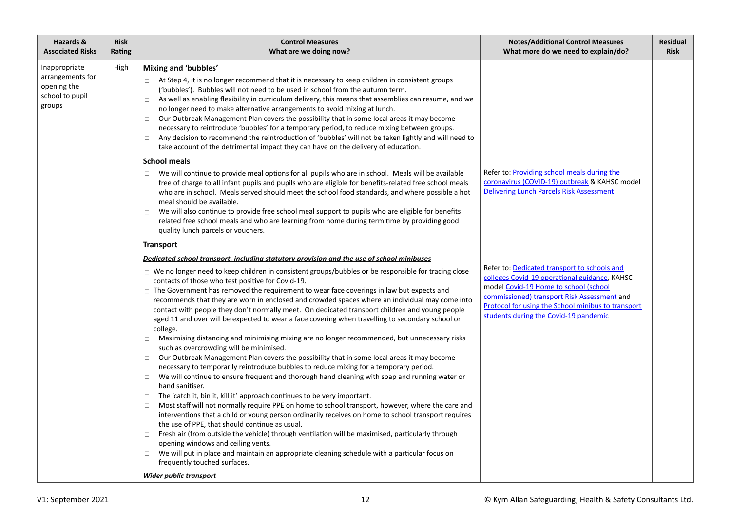| <b>Risk</b><br>Rating | <b>Control Measures</b><br>What are we doing now?                                                                                                                                                                                                                                                                                                                                                                                                                                                                                                                                                                                                                                                                                                                                                                                                                                                                                                                                                                                                                                                                                                                                                                                                                                                                                                                                                                                                                                                                                                                                                                                                                                                                                       | <b>Notes/Additional Control Measures</b><br>What more do we need to explain/do?                                                                                                                                                      | <b>Residual</b><br><b>Risk</b>               |
|-----------------------|-----------------------------------------------------------------------------------------------------------------------------------------------------------------------------------------------------------------------------------------------------------------------------------------------------------------------------------------------------------------------------------------------------------------------------------------------------------------------------------------------------------------------------------------------------------------------------------------------------------------------------------------------------------------------------------------------------------------------------------------------------------------------------------------------------------------------------------------------------------------------------------------------------------------------------------------------------------------------------------------------------------------------------------------------------------------------------------------------------------------------------------------------------------------------------------------------------------------------------------------------------------------------------------------------------------------------------------------------------------------------------------------------------------------------------------------------------------------------------------------------------------------------------------------------------------------------------------------------------------------------------------------------------------------------------------------------------------------------------------------|--------------------------------------------------------------------------------------------------------------------------------------------------------------------------------------------------------------------------------------|----------------------------------------------|
| High                  | Mixing and 'bubbles'<br>$\Box$ At Step 4, it is no longer recommend that it is necessary to keep children in consistent groups<br>('bubbles'). Bubbles will not need to be used in school from the autumn term.<br>As well as enabling flexibility in curriculum delivery, this means that assemblies can resume, and we<br>$\Box$<br>no longer need to make alternative arrangements to avoid mixing at lunch.<br>Our Outbreak Management Plan covers the possibility that in some local areas it may become<br>$\Box$<br>necessary to reintroduce 'bubbles' for a temporary period, to reduce mixing between groups.<br>Any decision to recommend the reintroduction of 'bubbles' will not be taken lightly and will need to<br>$\Box$<br>take account of the detrimental impact they can have on the delivery of education.                                                                                                                                                                                                                                                                                                                                                                                                                                                                                                                                                                                                                                                                                                                                                                                                                                                                                                          |                                                                                                                                                                                                                                      |                                              |
|                       | We will continue to provide meal options for all pupils who are in school. Meals will be available<br>$\Box$<br>free of charge to all infant pupils and pupils who are eligible for benefits-related free school meals<br>who are in school. Meals served should meet the school food standards, and where possible a hot<br>meal should be available.<br>We will also continue to provide free school meal support to pupils who are eligible for benefits<br>$\Box$<br>related free school meals and who are learning from home during term time by providing good<br>quality lunch parcels or vouchers.                                                                                                                                                                                                                                                                                                                                                                                                                                                                                                                                                                                                                                                                                                                                                                                                                                                                                                                                                                                                                                                                                                                              | Refer to: <b>Providing school meals during the</b><br>coronavirus (COVID-19) outbreak & KAHSC model<br><b>Delivering Lunch Parcels Risk Assessment</b>                                                                               |                                              |
|                       | <b>Transport</b>                                                                                                                                                                                                                                                                                                                                                                                                                                                                                                                                                                                                                                                                                                                                                                                                                                                                                                                                                                                                                                                                                                                                                                                                                                                                                                                                                                                                                                                                                                                                                                                                                                                                                                                        |                                                                                                                                                                                                                                      |                                              |
|                       | Dedicated school transport, including statutory provision and the use of school minibuses                                                                                                                                                                                                                                                                                                                                                                                                                                                                                                                                                                                                                                                                                                                                                                                                                                                                                                                                                                                                                                                                                                                                                                                                                                                                                                                                                                                                                                                                                                                                                                                                                                               |                                                                                                                                                                                                                                      |                                              |
|                       | $\Box$ We no longer need to keep children in consistent groups/bubbles or be responsible for tracing close<br>contacts of those who test positive for Covid-19.<br>$\Box$ The Government has removed the requirement to wear face coverings in law but expects and<br>recommends that they are worn in enclosed and crowded spaces where an individual may come into<br>contact with people they don't normally meet. On dedicated transport children and young people<br>aged 11 and over will be expected to wear a face covering when travelling to secondary school or<br>college.<br>Maximising distancing and minimising mixing are no longer recommended, but unnecessary risks<br>$\Box$<br>such as overcrowding will be minimised.<br>Our Outbreak Management Plan covers the possibility that in some local areas it may become<br>$\Box$<br>necessary to temporarily reintroduce bubbles to reduce mixing for a temporary period.<br>We will continue to ensure frequent and thorough hand cleaning with soap and running water or<br>$\Box$<br>hand sanitiser.<br>The 'catch it, bin it, kill it' approach continues to be very important.<br>$\Box$<br>Most staff will not normally require PPE on home to school transport, however, where the care and<br>$\Box$<br>interventions that a child or young person ordinarily receives on home to school transport requires<br>the use of PPE, that should continue as usual.<br>Fresh air (from outside the vehicle) through ventilation will be maximised, particularly through<br>$\Box$<br>opening windows and ceiling vents.<br>We will put in place and maintain an appropriate cleaning schedule with a particular focus on<br>$\Box$<br>frequently touched surfaces. | colleges Covid-19 operational guidance, KAHSC<br>model Covid-19 Home to school (school<br>commissioned) transport Risk Assessment and<br>Protocol for using the School minibus to transport<br>students during the Covid-19 pandemic |                                              |
|                       |                                                                                                                                                                                                                                                                                                                                                                                                                                                                                                                                                                                                                                                                                                                                                                                                                                                                                                                                                                                                                                                                                                                                                                                                                                                                                                                                                                                                                                                                                                                                                                                                                                                                                                                                         | <b>School meals</b><br>Wider public transport                                                                                                                                                                                        | Refer to: Dedicated transport to schools and |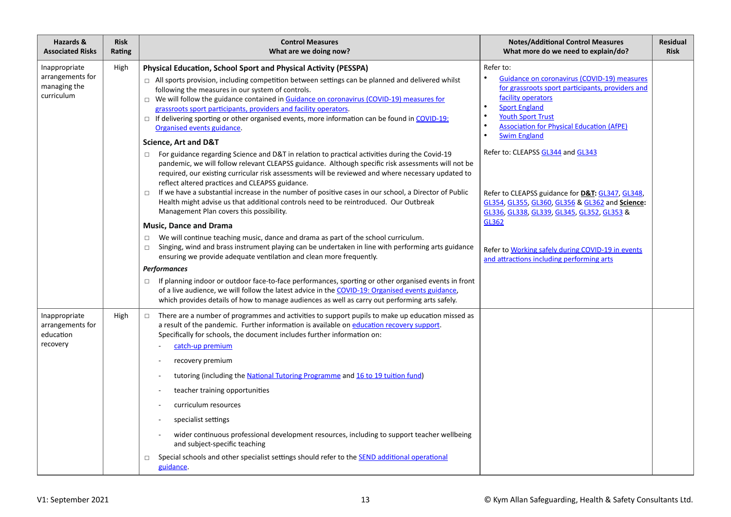| Hazards &<br><b>Associated Risks</b>                            | <b>Risk</b><br>Rating | <b>Control Measures</b><br>What are we doing now?                                                                                                                                                                                                                                                                                                                                                                                                                                                                                                                                                                                                                                                                                                                                                                                                                                                                                                                                                                                                                                                                                                                                                                                                                                                                                  | <b>Notes/Additional Control Measures</b><br>What more do we need to explain/do?                                                                                                                                                                                                                   | Residual<br><b>Risk</b> |
|-----------------------------------------------------------------|-----------------------|------------------------------------------------------------------------------------------------------------------------------------------------------------------------------------------------------------------------------------------------------------------------------------------------------------------------------------------------------------------------------------------------------------------------------------------------------------------------------------------------------------------------------------------------------------------------------------------------------------------------------------------------------------------------------------------------------------------------------------------------------------------------------------------------------------------------------------------------------------------------------------------------------------------------------------------------------------------------------------------------------------------------------------------------------------------------------------------------------------------------------------------------------------------------------------------------------------------------------------------------------------------------------------------------------------------------------------|---------------------------------------------------------------------------------------------------------------------------------------------------------------------------------------------------------------------------------------------------------------------------------------------------|-------------------------|
| Inappropriate<br>arrangements for<br>managing the<br>curriculum | High                  | Physical Education, School Sport and Physical Activity (PESSPA)<br>$\Box$ All sports provision, including competition between settings can be planned and delivered whilst<br>following the measures in our system of controls.<br>$\Box$ We will follow the guidance contained in Guidance on coronavirus (COVID-19) measures for<br>grassroots sport participants, providers and facility operators.<br>$\Box$ If delivering sporting or other organised events, more information can be found in COVID-19:<br>Organised events guidance.                                                                                                                                                                                                                                                                                                                                                                                                                                                                                                                                                                                                                                                                                                                                                                                        | Refer to:<br>$\bullet$<br>Guidance on coronavirus (COVID-19) measures<br>for grassroots sport participants, providers and<br>facility operators<br>$\bullet$<br><b>Sport England</b><br><b>Youth Sport Trust</b><br><b>Association for Physical Education (AfPE)</b><br><b>Swim England</b>       |                         |
|                                                                 |                       | <b>Science, Art and D&amp;T</b><br>For guidance regarding Science and D&T in relation to practical activities during the Covid-19<br>$\Box$<br>pandemic, we will follow relevant CLEAPSS guidance. Although specific risk assessments will not be<br>required, our existing curricular risk assessments will be reviewed and where necessary updated to<br>reflect altered practices and CLEAPSS guidance.<br>If we have a substantial increase in the number of positive cases in our school, a Director of Public<br>$\Box$<br>Health might advise us that additional controls need to be reintroduced. Our Outbreak<br>Management Plan covers this possibility.<br><b>Music, Dance and Drama</b><br>We will continue teaching music, dance and drama as part of the school curriculum.<br>$\Box$<br>Singing, wind and brass instrument playing can be undertaken in line with performing arts guidance<br>$\Box$<br>ensuring we provide adequate ventilation and clean more frequently.<br>Performances<br>If planning indoor or outdoor face-to-face performances, sporting or other organised events in front<br>$\Box$<br>of a live audience, we will follow the latest advice in the COVID-19: Organised events guidance,<br>which provides details of how to manage audiences as well as carry out performing arts safely. | Refer to: CLEAPSS GL344 and GL343<br>Refer to CLEAPSS guidance for D&T: GL347, GL348,<br>GL354, GL355, GL360, GL356 & GL362 and Science:<br>GL336, GL338, GL339, GL345, GL352, GL353 &<br>GL362<br>Refer to Working safely during COVID-19 in events<br>and attractions including performing arts |                         |
| Inappropriate<br>arrangements for<br>education<br>recovery      | High                  | There are a number of programmes and activities to support pupils to make up education missed as<br>$\Box$<br>a result of the pandemic. Further information is available on education recovery support.<br>Specifically for schools, the document includes further information on:<br>catch-up premium<br>recovery premium<br>tutoring (including the National Tutoring Programme and 16 to 19 tuition fund)<br>teacher training opportunities<br>curriculum resources<br>specialist settings<br>wider continuous professional development resources, including to support teacher wellbeing<br>and subject-specific teaching<br>Special schools and other specialist settings should refer to the SEND additional operational<br>□<br>guidance.                                                                                                                                                                                                                                                                                                                                                                                                                                                                                                                                                                                   |                                                                                                                                                                                                                                                                                                   |                         |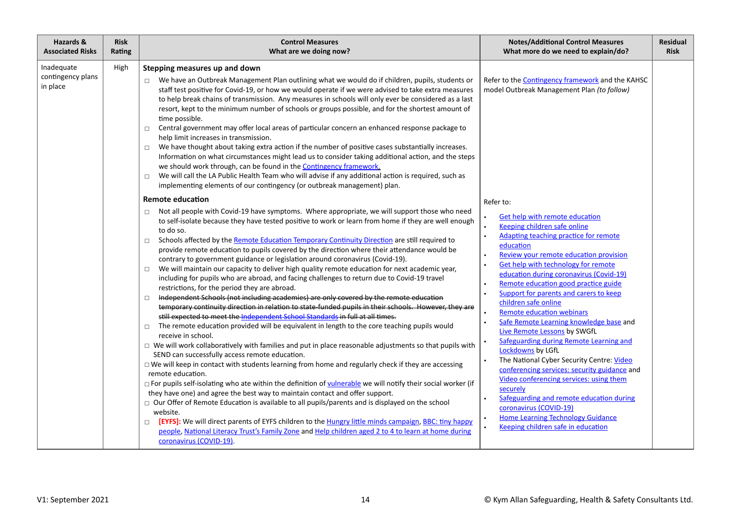| Hazards &                                   | <b>Risk</b> | <b>Control Measures</b>                                                                                                                                                                                                                                                                                                                                                                                                                                                                                                                                                                                                                                                                                                                                                                                                                                                                                                                                                                                                                                                                                                                                                                                                                                                                                                                                                                                                                                                                                                                                                                                                                                                                                                                                                                                                                                                                                                                                                                                                                                                                                                                                                                                                                                                                                                                                                                                                                                                                                                                                                                                                                                                                                                                                                                                                                                                                                                                                                                                                                                                                                                                                                                                                                                         | <b>Notes/Additional Control Measures</b>                                                                                                                                                                                                                                                                                                                                                                                                                                                                                                                                                                                                                                                                                                                                                                                                                                                                                                                                                              | <b>Residual</b> |
|---------------------------------------------|-------------|-----------------------------------------------------------------------------------------------------------------------------------------------------------------------------------------------------------------------------------------------------------------------------------------------------------------------------------------------------------------------------------------------------------------------------------------------------------------------------------------------------------------------------------------------------------------------------------------------------------------------------------------------------------------------------------------------------------------------------------------------------------------------------------------------------------------------------------------------------------------------------------------------------------------------------------------------------------------------------------------------------------------------------------------------------------------------------------------------------------------------------------------------------------------------------------------------------------------------------------------------------------------------------------------------------------------------------------------------------------------------------------------------------------------------------------------------------------------------------------------------------------------------------------------------------------------------------------------------------------------------------------------------------------------------------------------------------------------------------------------------------------------------------------------------------------------------------------------------------------------------------------------------------------------------------------------------------------------------------------------------------------------------------------------------------------------------------------------------------------------------------------------------------------------------------------------------------------------------------------------------------------------------------------------------------------------------------------------------------------------------------------------------------------------------------------------------------------------------------------------------------------------------------------------------------------------------------------------------------------------------------------------------------------------------------------------------------------------------------------------------------------------------------------------------------------------------------------------------------------------------------------------------------------------------------------------------------------------------------------------------------------------------------------------------------------------------------------------------------------------------------------------------------------------------------------------------------------------------------------------------------------------|-------------------------------------------------------------------------------------------------------------------------------------------------------------------------------------------------------------------------------------------------------------------------------------------------------------------------------------------------------------------------------------------------------------------------------------------------------------------------------------------------------------------------------------------------------------------------------------------------------------------------------------------------------------------------------------------------------------------------------------------------------------------------------------------------------------------------------------------------------------------------------------------------------------------------------------------------------------------------------------------------------|-----------------|
| <b>Associated Risks</b>                     | Rating      | What are we doing now?                                                                                                                                                                                                                                                                                                                                                                                                                                                                                                                                                                                                                                                                                                                                                                                                                                                                                                                                                                                                                                                                                                                                                                                                                                                                                                                                                                                                                                                                                                                                                                                                                                                                                                                                                                                                                                                                                                                                                                                                                                                                                                                                                                                                                                                                                                                                                                                                                                                                                                                                                                                                                                                                                                                                                                                                                                                                                                                                                                                                                                                                                                                                                                                                                                          | What more do we need to explain/do?                                                                                                                                                                                                                                                                                                                                                                                                                                                                                                                                                                                                                                                                                                                                                                                                                                                                                                                                                                   | <b>Risk</b>     |
| Inadequate<br>contingency plans<br>in place | High        | Stepping measures up and down<br>We have an Outbreak Management Plan outlining what we would do if children, pupils, students or<br>$\Box$<br>staff test positive for Covid-19, or how we would operate if we were advised to take extra measures<br>to help break chains of transmission. Any measures in schools will only ever be considered as a last<br>resort, kept to the minimum number of schools or groups possible, and for the shortest amount of<br>time possible.<br>Central government may offer local areas of particular concern an enhanced response package to<br>$\Box$<br>help limit increases in transmission.<br>We have thought about taking extra action if the number of positive cases substantially increases.<br>$\Box$<br>Information on what circumstances might lead us to consider taking additional action, and the steps<br>we should work through, can be found in the Contingency framework.<br>We will call the LA Public Health Team who will advise if any additional action is required, such as<br>$\Box$<br>implementing elements of our contingency (or outbreak management) plan.<br><b>Remote education</b><br>Not all people with Covid-19 have symptoms. Where appropriate, we will support those who need<br>$\Box$<br>to self-isolate because they have tested positive to work or learn from home if they are well enough<br>to do so.<br>Schools affected by the Remote Education Temporary Continuity Direction are still required to<br>$\Box$<br>provide remote education to pupils covered by the direction where their attendance would be<br>contrary to government guidance or legislation around coronavirus (Covid-19).<br>We will maintain our capacity to deliver high quality remote education for next academic year,<br>$\Box$<br>including for pupils who are abroad, and facing challenges to return due to Covid-19 travel<br>restrictions, for the period they are abroad.<br>Independent Schools (not including academies) are only covered by the remote education<br>$\Box$<br>temporary continuity direction in relation to state-funded pupils in their schools. However, they are<br>still expected to meet the Independent School Standards in full at all times.<br>The remote education provided will be equivalent in length to the core teaching pupils would<br>$\Box$<br>receive in school.<br>$\Box$ We will work collaboratively with families and put in place reasonable adjustments so that pupils with<br>SEND can successfully access remote education.<br>□ We will keep in contact with students learning from home and regularly check if they are accessing<br>remote education.<br>$\Box$ For pupils self-isolating who ate within the definition of vulnerable we will notify their social worker (if<br>they have one) and agree the best way to maintain contact and offer support.<br>$\Box$ Our Offer of Remote Education is available to all pupils/parents and is displayed on the school<br>website.<br>[EYFS]: We will direct parents of EYFS children to the Hungry little minds campaign, BBC: tiny happy<br>$\Box$<br>people, National Literacy Trust's Family Zone and Help children aged 2 to 4 to learn at home during<br>coronavirus (COVID-19). | Refer to the <b>Contingency framework</b> and the KAHSC<br>model Outbreak Management Plan (to follow)<br>Refer to:<br>Get help with remote education<br>Keeping children safe online<br>Adapting teaching practice for remote<br>$\bullet$<br>education<br>Review your remote education provision<br>Get help with technology for remote<br>education during coronavirus (Covid-19)<br>Remote education good practice guide<br>Support for parents and carers to keep<br>children safe online<br><b>Remote education webinars</b><br>Safe Remote Learning knowledge base and<br>Live Remote Lessons by SWGfL<br>Safeguarding during Remote Learning and<br>Lockdowns by LGfL<br>The National Cyber Security Centre: Video<br>$\bullet$<br>conferencing services: security guidance and<br>Video conferencing services: using them<br>securely<br>Safeguarding and remote education during<br>coronavirus (COVID-19)<br><b>Home Learning Technology Guidance</b><br>Keeping children safe in education |                 |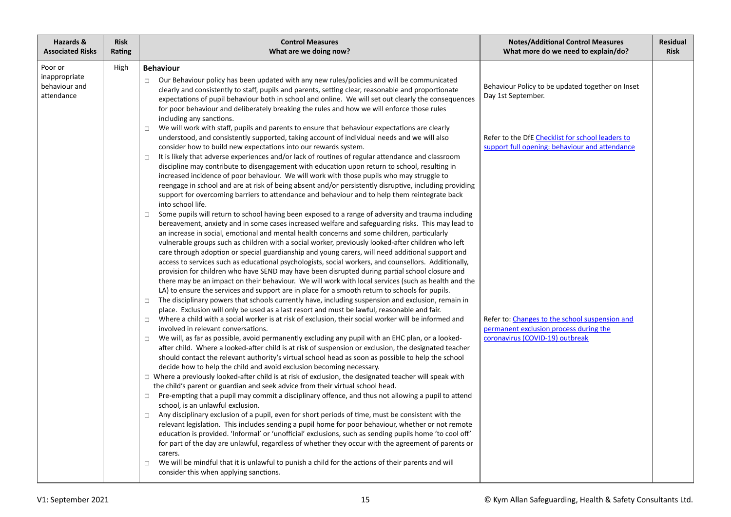| Hazards &                                               | <b>Risk</b> | <b>Control Measures</b>                                                                                                                                                                                                                                                                                                                                                                                                                                                                                                                                                                                                                                                                                                                                                                                                                                                                                                                                                                                                                                                                                                                                                                                                                                                                                                                                                                                                                                                                                                                                                                                                                                                                                                                                                                                                                                                                                                                                                                                                                                                                                                                                                                                                                                                                                                                                                                                                                                                                                                                                                                                                                                                                                                                                                                                                                                                                                                                                                                                                                                                                                                                                                                                                                                                                                                                                                                                                                                                                                                                                                                                                                                                                                                                                                                                                                                                                                                                                                                        | <b>Notes/Additional Control Measures</b>                                                                                                                                                                                                                                                                    | Residual    |
|---------------------------------------------------------|-------------|------------------------------------------------------------------------------------------------------------------------------------------------------------------------------------------------------------------------------------------------------------------------------------------------------------------------------------------------------------------------------------------------------------------------------------------------------------------------------------------------------------------------------------------------------------------------------------------------------------------------------------------------------------------------------------------------------------------------------------------------------------------------------------------------------------------------------------------------------------------------------------------------------------------------------------------------------------------------------------------------------------------------------------------------------------------------------------------------------------------------------------------------------------------------------------------------------------------------------------------------------------------------------------------------------------------------------------------------------------------------------------------------------------------------------------------------------------------------------------------------------------------------------------------------------------------------------------------------------------------------------------------------------------------------------------------------------------------------------------------------------------------------------------------------------------------------------------------------------------------------------------------------------------------------------------------------------------------------------------------------------------------------------------------------------------------------------------------------------------------------------------------------------------------------------------------------------------------------------------------------------------------------------------------------------------------------------------------------------------------------------------------------------------------------------------------------------------------------------------------------------------------------------------------------------------------------------------------------------------------------------------------------------------------------------------------------------------------------------------------------------------------------------------------------------------------------------------------------------------------------------------------------------------------------------------------------------------------------------------------------------------------------------------------------------------------------------------------------------------------------------------------------------------------------------------------------------------------------------------------------------------------------------------------------------------------------------------------------------------------------------------------------------------------------------------------------------------------------------------------------------------------------------------------------------------------------------------------------------------------------------------------------------------------------------------------------------------------------------------------------------------------------------------------------------------------------------------------------------------------------------------------------------------------------------------------------------------------------------------------------|-------------------------------------------------------------------------------------------------------------------------------------------------------------------------------------------------------------------------------------------------------------------------------------------------------------|-------------|
| <b>Associated Risks</b>                                 | Rating      | What are we doing now?                                                                                                                                                                                                                                                                                                                                                                                                                                                                                                                                                                                                                                                                                                                                                                                                                                                                                                                                                                                                                                                                                                                                                                                                                                                                                                                                                                                                                                                                                                                                                                                                                                                                                                                                                                                                                                                                                                                                                                                                                                                                                                                                                                                                                                                                                                                                                                                                                                                                                                                                                                                                                                                                                                                                                                                                                                                                                                                                                                                                                                                                                                                                                                                                                                                                                                                                                                                                                                                                                                                                                                                                                                                                                                                                                                                                                                                                                                                                                                         | What more do we need to explain/do?                                                                                                                                                                                                                                                                         | <b>Risk</b> |
| Poor or<br>inappropriate<br>behaviour and<br>attendance | High        | <b>Behaviour</b><br>Our Behaviour policy has been updated with any new rules/policies and will be communicated<br>$\Box$<br>clearly and consistently to staff, pupils and parents, setting clear, reasonable and proportionate<br>expectations of pupil behaviour both in school and online. We will set out clearly the consequences<br>for poor behaviour and deliberately breaking the rules and how we will enforce those rules<br>including any sanctions.<br>We will work with staff, pupils and parents to ensure that behaviour expectations are clearly<br>$\Box$<br>understood, and consistently supported, taking account of individual needs and we will also<br>consider how to build new expectations into our rewards system.<br>It is likely that adverse experiences and/or lack of routines of regular attendance and classroom<br>$\Box$<br>discipline may contribute to disengagement with education upon return to school, resulting in<br>increased incidence of poor behaviour. We will work with those pupils who may struggle to<br>reengage in school and are at risk of being absent and/or persistently disruptive, including providing<br>support for overcoming barriers to attendance and behaviour and to help them reintegrate back<br>into school life.<br>Some pupils will return to school having been exposed to a range of adversity and trauma including<br>$\Box$<br>bereavement, anxiety and in some cases increased welfare and safeguarding risks. This may lead to<br>an increase in social, emotional and mental health concerns and some children, particularly<br>vulnerable groups such as children with a social worker, previously looked-after children who left<br>care through adoption or special guardianship and young carers, will need additional support and<br>access to services such as educational psychologists, social workers, and counsellors. Additionally,<br>provision for children who have SEND may have been disrupted during partial school closure and<br>there may be an impact on their behaviour. We will work with local services (such as health and the<br>LA) to ensure the services and support are in place for a smooth return to schools for pupils.<br>The disciplinary powers that schools currently have, including suspension and exclusion, remain in<br>$\Box$<br>place. Exclusion will only be used as a last resort and must be lawful, reasonable and fair.<br>Where a child with a social worker is at risk of exclusion, their social worker will be informed and<br>$\Box$<br>involved in relevant conversations.<br>We will, as far as possible, avoid permanently excluding any pupil with an EHC plan, or a looked-<br>$\Box$<br>after child. Where a looked-after child is at risk of suspension or exclusion, the designated teacher<br>should contact the relevant authority's virtual school head as soon as possible to help the school<br>decide how to help the child and avoid exclusion becoming necessary.<br>$\Box$ Where a previously looked-after child is at risk of exclusion, the designated teacher will speak with<br>the child's parent or guardian and seek advice from their virtual school head.<br>Pre-empting that a pupil may commit a disciplinary offence, and thus not allowing a pupil to attend<br>$\Box$<br>school, is an unlawful exclusion.<br>Any disciplinary exclusion of a pupil, even for short periods of time, must be consistent with the<br>$\Box$<br>relevant legislation. This includes sending a pupil home for poor behaviour, whether or not remote<br>education is provided. 'Informal' or 'unofficial' exclusions, such as sending pupils home 'to cool off'<br>for part of the day are unlawful, regardless of whether they occur with the agreement of parents or<br>carers.<br>We will be mindful that it is unlawful to punish a child for the actions of their parents and will<br>$\Box$<br>consider this when applying sanctions. | Behaviour Policy to be updated together on Inset<br>Day 1st September.<br>Refer to the DfE Checklist for school leaders to<br>support full opening: behaviour and attendance<br>Refer to: Changes to the school suspension and<br>permanent exclusion process during the<br>coronavirus (COVID-19) outbreak |             |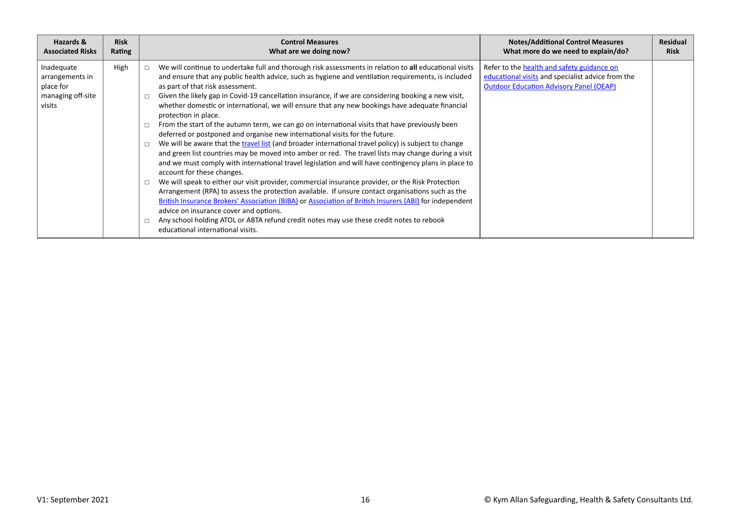| Hazards &                                                                 | <b>Risk</b> | <b>Control Measures</b>                                                                                                                                                                                                                                                                                                                                                                                                                                                                                                                                                                                                                                                                                                                                                                                                                                                                                                                                                                                                                                                                                                                                                                                                                                                                                                                                                                                                                                                                                                                                                    | <b>Notes/Additional Control Measures</b>                                                                                                          | <b>Residual</b> |
|---------------------------------------------------------------------------|-------------|----------------------------------------------------------------------------------------------------------------------------------------------------------------------------------------------------------------------------------------------------------------------------------------------------------------------------------------------------------------------------------------------------------------------------------------------------------------------------------------------------------------------------------------------------------------------------------------------------------------------------------------------------------------------------------------------------------------------------------------------------------------------------------------------------------------------------------------------------------------------------------------------------------------------------------------------------------------------------------------------------------------------------------------------------------------------------------------------------------------------------------------------------------------------------------------------------------------------------------------------------------------------------------------------------------------------------------------------------------------------------------------------------------------------------------------------------------------------------------------------------------------------------------------------------------------------------|---------------------------------------------------------------------------------------------------------------------------------------------------|-----------------|
| <b>Associated Risks</b>                                                   | Rating      | What are we doing now?                                                                                                                                                                                                                                                                                                                                                                                                                                                                                                                                                                                                                                                                                                                                                                                                                                                                                                                                                                                                                                                                                                                                                                                                                                                                                                                                                                                                                                                                                                                                                     | What more do we need to explain/do?                                                                                                               | <b>Risk</b>     |
| Inadequate<br>arrangements in<br>place for<br>managing off-site<br>visits | High        | We will continue to undertake full and thorough risk assessments in relation to all educational visits<br>$\Box$<br>and ensure that any public health advice, such as hygiene and ventilation requirements, is included<br>as part of that risk assessment.<br>Given the likely gap in Covid-19 cancellation insurance, if we are considering booking a new visit,<br>$\Box$<br>whether domestic or international, we will ensure that any new bookings have adequate financial<br>protection in place.<br>From the start of the autumn term, we can go on international visits that have previously been<br>$\Box$<br>deferred or postponed and organise new international visits for the future.<br>We will be aware that the travel list (and broader international travel policy) is subject to change<br>$\Box$<br>and green list countries may be moved into amber or red. The travel lists may change during a visit<br>and we must comply with international travel legislation and will have contingency plans in place to<br>account for these changes.<br>We will speak to either our visit provider, commercial insurance provider, or the Risk Protection<br>$\Box$<br>Arrangement (RPA) to assess the protection available. If unsure contact organisations such as the<br>British Insurance Brokers' Association (BIBA) or Association of British Insurers (ABI) for independent<br>advice on insurance cover and options.<br>Any school holding ATOL or ABTA refund credit notes may use these credit notes to rebook<br>educational international visits. | Refer to the health and safety guidance on<br>educational visits and specialist advice from the<br><b>Outdoor Education Advisory Panel (OEAP)</b> |                 |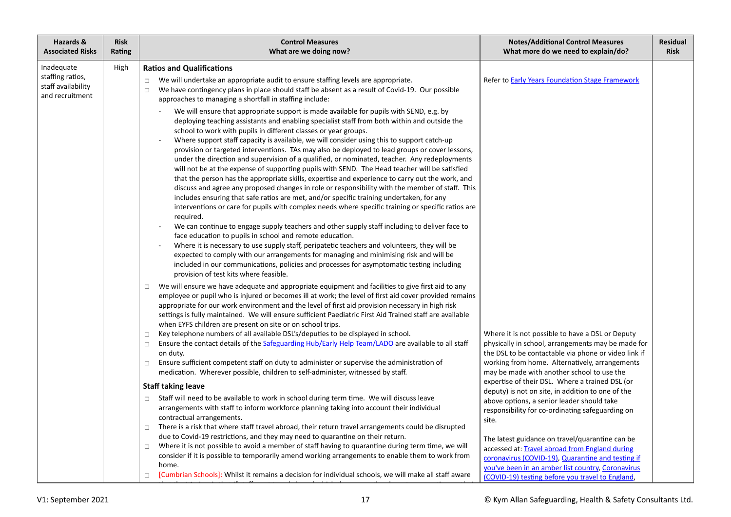| Hazards &<br><b>Associated Risks</b>                                    | <b>Risk</b><br>Rating | <b>Control Measures</b><br>What are we doing now?                                                                                                                                                                                                                                                                                                                                                                                                                                                                                                                                                                                                                                                                                                                                                                                                                                                                                                                                                                                                                                                                                                                                                                                                                                                                                                                                                                                                                                                                                                                             | <b>Notes/Additional Control Measures</b><br>What more do we need to explain/do?                                                                                                                             | <b>Residual</b><br><b>Risk</b> |
|-------------------------------------------------------------------------|-----------------------|-------------------------------------------------------------------------------------------------------------------------------------------------------------------------------------------------------------------------------------------------------------------------------------------------------------------------------------------------------------------------------------------------------------------------------------------------------------------------------------------------------------------------------------------------------------------------------------------------------------------------------------------------------------------------------------------------------------------------------------------------------------------------------------------------------------------------------------------------------------------------------------------------------------------------------------------------------------------------------------------------------------------------------------------------------------------------------------------------------------------------------------------------------------------------------------------------------------------------------------------------------------------------------------------------------------------------------------------------------------------------------------------------------------------------------------------------------------------------------------------------------------------------------------------------------------------------------|-------------------------------------------------------------------------------------------------------------------------------------------------------------------------------------------------------------|--------------------------------|
| Inadequate<br>staffing ratios,<br>staff availability<br>and recruitment | High                  | <b>Ratios and Qualifications</b><br>We will undertake an appropriate audit to ensure staffing levels are appropriate.<br>$\Box$<br>We have contingency plans in place should staff be absent as a result of Covid-19. Our possible<br>$\Box$<br>approaches to managing a shortfall in staffing include:                                                                                                                                                                                                                                                                                                                                                                                                                                                                                                                                                                                                                                                                                                                                                                                                                                                                                                                                                                                                                                                                                                                                                                                                                                                                       | Refer to <b>Early Years Foundation Stage Framework</b>                                                                                                                                                      |                                |
|                                                                         |                       | We will ensure that appropriate support is made available for pupils with SEND, e.g. by<br>deploying teaching assistants and enabling specialist staff from both within and outside the<br>school to work with pupils in different classes or year groups.<br>Where support staff capacity is available, we will consider using this to support catch-up<br>provision or targeted interventions. TAs may also be deployed to lead groups or cover lessons,<br>under the direction and supervision of a qualified, or nominated, teacher. Any redeployments<br>will not be at the expense of supporting pupils with SEND. The Head teacher will be satisfied<br>that the person has the appropriate skills, expertise and experience to carry out the work, and<br>discuss and agree any proposed changes in role or responsibility with the member of staff. This<br>includes ensuring that safe ratios are met, and/or specific training undertaken, for any<br>interventions or care for pupils with complex needs where specific training or specific ratios are<br>required.<br>We can continue to engage supply teachers and other supply staff including to deliver face to<br>face education to pupils in school and remote education.<br>Where it is necessary to use supply staff, peripatetic teachers and volunteers, they will be<br>expected to comply with our arrangements for managing and minimising risk and will be<br>included in our communications, policies and processes for asymptomatic testing including<br>provision of test kits where feasible. |                                                                                                                                                                                                             |                                |
|                                                                         |                       | We will ensure we have adequate and appropriate equipment and facilities to give first aid to any<br>$\Box$<br>employee or pupil who is injured or becomes ill at work; the level of first aid cover provided remains<br>appropriate for our work environment and the level of first aid provision necessary in high risk<br>settings is fully maintained. We will ensure sufficient Paediatric First Aid Trained staff are available<br>when EYFS children are present on site or on school trips.                                                                                                                                                                                                                                                                                                                                                                                                                                                                                                                                                                                                                                                                                                                                                                                                                                                                                                                                                                                                                                                                           |                                                                                                                                                                                                             |                                |
|                                                                         |                       | Key telephone numbers of all available DSL's/deputies to be displayed in school.<br>$\Box$<br>Ensure the contact details of the Safeguarding Hub/Early Help Team/LADO are available to all staff<br>$\Box$<br>on duty.                                                                                                                                                                                                                                                                                                                                                                                                                                                                                                                                                                                                                                                                                                                                                                                                                                                                                                                                                                                                                                                                                                                                                                                                                                                                                                                                                        | Where it is not possible to have a DSL or Deputy<br>physically in school, arrangements may be made for<br>the DSL to be contactable via phone or video link if                                              |                                |
|                                                                         |                       | Ensure sufficient competent staff on duty to administer or supervise the administration of<br>$\Box$<br>medication. Wherever possible, children to self-administer, witnessed by staff.                                                                                                                                                                                                                                                                                                                                                                                                                                                                                                                                                                                                                                                                                                                                                                                                                                                                                                                                                                                                                                                                                                                                                                                                                                                                                                                                                                                       | working from home. Alternatively, arrangements<br>may be made with another school to use the<br>expertise of their DSL. Where a trained DSL (or                                                             |                                |
|                                                                         |                       | <b>Staff taking leave</b>                                                                                                                                                                                                                                                                                                                                                                                                                                                                                                                                                                                                                                                                                                                                                                                                                                                                                                                                                                                                                                                                                                                                                                                                                                                                                                                                                                                                                                                                                                                                                     | deputy) is not on site, in addition to one of the                                                                                                                                                           |                                |
|                                                                         |                       | Staff will need to be available to work in school during term time. We will discuss leave<br>$\Box$<br>arrangements with staff to inform workforce planning taking into account their individual<br>contractual arrangements.<br>There is a risk that where staff travel abroad, their return travel arrangements could be disrupted                                                                                                                                                                                                                                                                                                                                                                                                                                                                                                                                                                                                                                                                                                                                                                                                                                                                                                                                                                                                                                                                                                                                                                                                                                          | above options, a senior leader should take<br>responsibility for co-ordinating safeguarding on<br>site.                                                                                                     |                                |
|                                                                         |                       | $\Box$<br>due to Covid-19 restrictions, and they may need to quarantine on their return.                                                                                                                                                                                                                                                                                                                                                                                                                                                                                                                                                                                                                                                                                                                                                                                                                                                                                                                                                                                                                                                                                                                                                                                                                                                                                                                                                                                                                                                                                      |                                                                                                                                                                                                             |                                |
|                                                                         |                       | Where it is not possible to avoid a member of staff having to quarantine during term time, we will<br>$\Box$<br>consider if it is possible to temporarily amend working arrangements to enable them to work from<br>home.                                                                                                                                                                                                                                                                                                                                                                                                                                                                                                                                                                                                                                                                                                                                                                                                                                                                                                                                                                                                                                                                                                                                                                                                                                                                                                                                                     | The latest guidance on travel/quarantine can be<br>accessed at: Travel abroad from England during<br>coronavirus (COVID-19), Quarantine and testing if<br>you've been in an amber list country, Coronavirus |                                |
|                                                                         |                       | [Cumbrian Schools]: Whilst it remains a decision for individual schools, we will make all staff aware<br>$\Box$                                                                                                                                                                                                                                                                                                                                                                                                                                                                                                                                                                                                                                                                                                                                                                                                                                                                                                                                                                                                                                                                                                                                                                                                                                                                                                                                                                                                                                                               | (COVID-19) testing before you travel to England,                                                                                                                                                            |                                |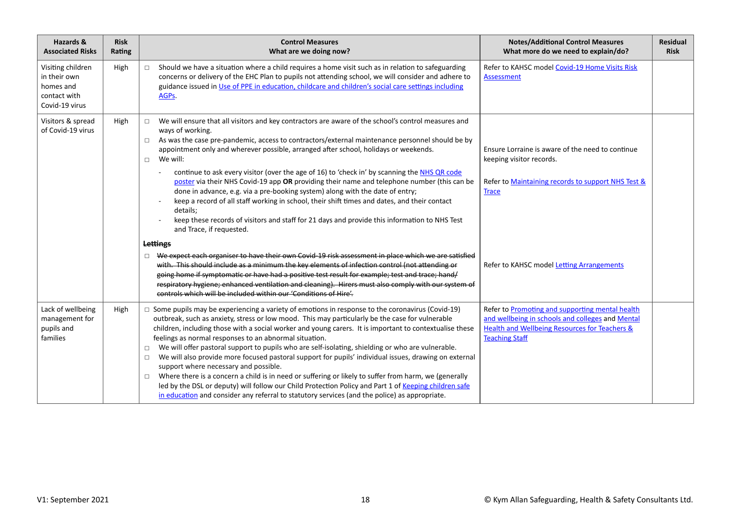| Hazards &<br><b>Associated Risks</b>                                             | <b>Risk</b><br>Rating | <b>Control Measures</b><br>What are we doing now?                                                                                                                                                                                                                                                                                                                                                                                                                                                                                                                                                                                                                                                                                                                                                                                                                                                                                                                                         | <b>Notes/Additional Control Measures</b><br>What more do we need to explain/do?                                                                                                          | Residual<br><b>Risk</b> |
|----------------------------------------------------------------------------------|-----------------------|-------------------------------------------------------------------------------------------------------------------------------------------------------------------------------------------------------------------------------------------------------------------------------------------------------------------------------------------------------------------------------------------------------------------------------------------------------------------------------------------------------------------------------------------------------------------------------------------------------------------------------------------------------------------------------------------------------------------------------------------------------------------------------------------------------------------------------------------------------------------------------------------------------------------------------------------------------------------------------------------|------------------------------------------------------------------------------------------------------------------------------------------------------------------------------------------|-------------------------|
| Visiting children<br>in their own<br>homes and<br>contact with<br>Covid-19 virus | High                  | Should we have a situation where a child requires a home visit such as in relation to safeguarding<br>$\Box$<br>concerns or delivery of the EHC Plan to pupils not attending school, we will consider and adhere to<br>guidance issued in Use of PPE in education, childcare and children's social care settings including<br>AGPs.                                                                                                                                                                                                                                                                                                                                                                                                                                                                                                                                                                                                                                                       | Refer to KAHSC model Covid-19 Home Visits Risk<br>Assessment                                                                                                                             |                         |
| Visitors & spread<br>of Covid-19 virus                                           | High                  | We will ensure that all visitors and key contractors are aware of the school's control measures and<br>$\Box$<br>ways of working.<br>As was the case pre-pandemic, access to contractors/external maintenance personnel should be by<br>$\Box$<br>appointment only and wherever possible, arranged after school, holidays or weekends.<br>We will:<br>$\Box$<br>continue to ask every visitor (over the age of 16) to 'check in' by scanning the NHS QR code<br>poster via their NHS Covid-19 app OR providing their name and telephone number (this can be<br>done in advance, e.g. via a pre-booking system) along with the date of entry;<br>keep a record of all staff working in school, their shift times and dates, and their contact<br>details;<br>keep these records of visitors and staff for 21 days and provide this information to NHS Test<br>and Trace, if requested.<br><b>Lettings</b>                                                                                  | Ensure Lorraine is aware of the need to continue<br>keeping visitor records.<br>Refer to Maintaining records to support NHS Test &<br><b>Trace</b>                                       |                         |
|                                                                                  |                       | We expect each organiser to have their own Covid-19 risk assessment in place which we are satisfied<br>$\Box$<br>with. This should include as a minimum the key elements of infection control (not attending or<br>going home if symptomatic or have had a positive test result for example; test and trace; hand/<br>respiratory hygiene; enhanced ventilation and cleaning). Hirers must also comply with our system of<br>controls which will be included within our 'Conditions of Hire'.                                                                                                                                                                                                                                                                                                                                                                                                                                                                                             | Refer to KAHSC model <b>Letting Arrangements</b>                                                                                                                                         |                         |
| Lack of wellbeing<br>management for<br>pupils and<br>families                    | High                  | Some pupils may be experiencing a variety of emotions in response to the coronavirus (Covid-19)<br>$\Box$<br>outbreak, such as anxiety, stress or low mood. This may particularly be the case for vulnerable<br>children, including those with a social worker and young carers. It is important to contextualise these<br>feelings as normal responses to an abnormal situation.<br>We will offer pastoral support to pupils who are self-isolating, shielding or who are vulnerable.<br>$\Box$<br>We will also provide more focused pastoral support for pupils' individual issues, drawing on external<br>$\Box$<br>support where necessary and possible.<br>Where there is a concern a child is in need or suffering or likely to suffer from harm, we (generally<br>$\Box$<br>led by the DSL or deputy) will follow our Child Protection Policy and Part 1 of Keeping children safe<br>in education and consider any referral to statutory services (and the police) as appropriate. | Refer to Promoting and supporting mental health<br>and wellbeing in schools and colleges and Mental<br><b>Health and Wellbeing Resources for Teachers &amp;</b><br><b>Teaching Staff</b> |                         |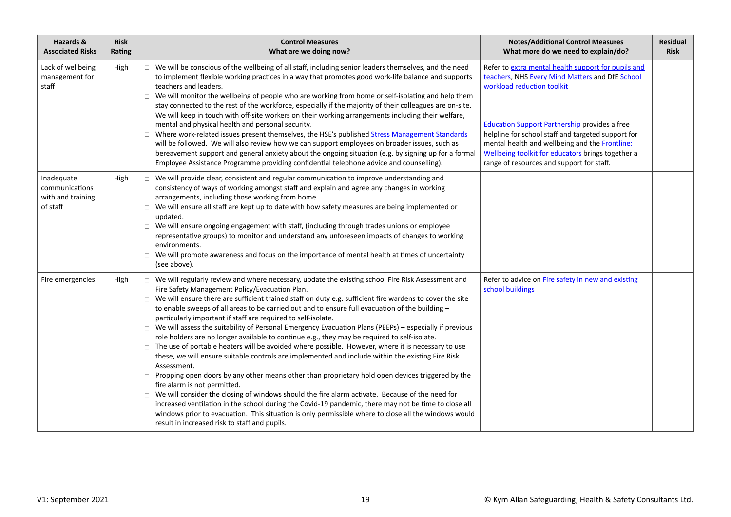| Hazards &<br><b>Associated Risks</b>                          | <b>Risk</b><br>Rating | <b>Control Measures</b><br>What are we doing now?                                                                                                                                                                                                                                                                                                                                                                                                                                                                                                                                                                                                                                                                                                                                                                                                                                                                                                                                                                                                                                                                                                                                                                                                                                                                                                                                                                      | <b>Notes/Additional Control Measures</b><br>What more do we need to explain/do?                                                                                                                                                                                                                                                                                                                        | Residual<br><b>Risk</b> |
|---------------------------------------------------------------|-----------------------|------------------------------------------------------------------------------------------------------------------------------------------------------------------------------------------------------------------------------------------------------------------------------------------------------------------------------------------------------------------------------------------------------------------------------------------------------------------------------------------------------------------------------------------------------------------------------------------------------------------------------------------------------------------------------------------------------------------------------------------------------------------------------------------------------------------------------------------------------------------------------------------------------------------------------------------------------------------------------------------------------------------------------------------------------------------------------------------------------------------------------------------------------------------------------------------------------------------------------------------------------------------------------------------------------------------------------------------------------------------------------------------------------------------------|--------------------------------------------------------------------------------------------------------------------------------------------------------------------------------------------------------------------------------------------------------------------------------------------------------------------------------------------------------------------------------------------------------|-------------------------|
| Lack of wellbeing<br>management for<br>staff                  | High                  | $\Box$ We will be conscious of the wellbeing of all staff, including senior leaders themselves, and the need<br>to implement flexible working practices in a way that promotes good work-life balance and supports<br>teachers and leaders.<br>We will monitor the wellbeing of people who are working from home or self-isolating and help them<br>$\Box$<br>stay connected to the rest of the workforce, especially if the majority of their colleagues are on-site.<br>We will keep in touch with off-site workers on their working arrangements including their welfare,<br>mental and physical health and personal security.<br>□ Where work-related issues present themselves, the HSE's published Stress Management Standards<br>will be followed. We will also review how we can support employees on broader issues, such as<br>bereavement support and general anxiety about the ongoing situation (e.g. by signing up for a formal<br>Employee Assistance Programme providing confidential telephone advice and counselling).                                                                                                                                                                                                                                                                                                                                                                               | Refer to extra mental health support for pupils and<br>teachers, NHS Every Mind Matters and DfE School<br>workload reduction toolkit<br><b>Education Support Partnership provides a free</b><br>helpline for school staff and targeted support for<br>mental health and wellbeing and the Frontline:<br>Wellbeing toolkit for educators brings together a<br>range of resources and support for staff. |                         |
| Inadequate<br>communications<br>with and training<br>of staff | High                  | We will provide clear, consistent and regular communication to improve understanding and<br>$\Box$<br>consistency of ways of working amongst staff and explain and agree any changes in working<br>arrangements, including those working from home.<br>We will ensure all staff are kept up to date with how safety measures are being implemented or<br>$\Box$<br>updated.<br>$\Box$ We will ensure ongoing engagement with staff, (including through trades unions or employee<br>representative groups) to monitor and understand any unforeseen impacts of changes to working<br>environments.<br>We will promote awareness and focus on the importance of mental health at times of uncertainty<br>$\Box$<br>(see above).                                                                                                                                                                                                                                                                                                                                                                                                                                                                                                                                                                                                                                                                                         |                                                                                                                                                                                                                                                                                                                                                                                                        |                         |
| Fire emergencies                                              | High                  | □ We will regularly review and where necessary, update the existing school Fire Risk Assessment and<br>Fire Safety Management Policy/Evacuation Plan.<br>$\Box$ We will ensure there are sufficient trained staff on duty e.g. sufficient fire wardens to cover the site<br>to enable sweeps of all areas to be carried out and to ensure full evacuation of the building -<br>particularly important if staff are required to self-isolate.<br>$\Box$ We will assess the suitability of Personal Emergency Evacuation Plans (PEEPs) – especially if previous<br>role holders are no longer available to continue e.g., they may be required to self-isolate.<br>The use of portable heaters will be avoided where possible. However, where it is necessary to use<br>$\Box$<br>these, we will ensure suitable controls are implemented and include within the existing Fire Risk<br>Assessment.<br>$\Box$ Propping open doors by any other means other than proprietary hold open devices triggered by the<br>fire alarm is not permitted.<br>$\Box$ We will consider the closing of windows should the fire alarm activate. Because of the need for<br>increased ventilation in the school during the Covid-19 pandemic, there may not be time to close all<br>windows prior to evacuation. This situation is only permissible where to close all the windows would<br>result in increased risk to staff and pupils. | Refer to advice on Fire safety in new and existing<br>school buildings                                                                                                                                                                                                                                                                                                                                 |                         |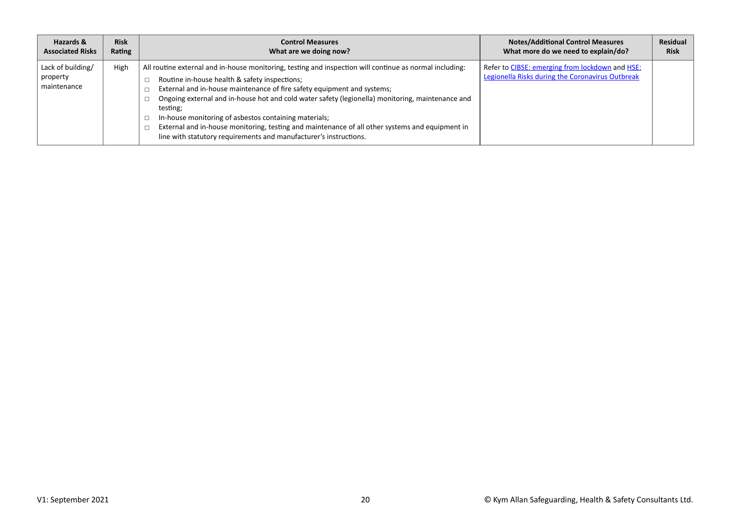| Hazards &                                    | <b>Risk</b> | <b>Control Measures</b>                                                                                                                                                                                                                                                                                                                                                                                                                                                                                                                                                              | <b>Notes/Additional Control Measures</b>                                                            | Residual    |
|----------------------------------------------|-------------|--------------------------------------------------------------------------------------------------------------------------------------------------------------------------------------------------------------------------------------------------------------------------------------------------------------------------------------------------------------------------------------------------------------------------------------------------------------------------------------------------------------------------------------------------------------------------------------|-----------------------------------------------------------------------------------------------------|-------------|
| <b>Associated Risks</b>                      | Rating      | What are we doing now?                                                                                                                                                                                                                                                                                                                                                                                                                                                                                                                                                               | What more do we need to explain/do?                                                                 | <b>Risk</b> |
| Lack of building/<br>property<br>maintenance | High        | All routine external and in-house monitoring, testing and inspection will continue as normal including:<br>Routine in-house health & safety inspections;<br>External and in-house maintenance of fire safety equipment and systems;<br>Ongoing external and in-house hot and cold water safety (legionella) monitoring, maintenance and<br>testing;<br>In-house monitoring of asbestos containing materials;<br>External and in-house monitoring, testing and maintenance of all other systems and equipment in<br>line with statutory requirements and manufacturer's instructions. | Refer to CIBSE: emerging from lockdown and HSE:<br>Legionella Risks during the Coronavirus Outbreak |             |